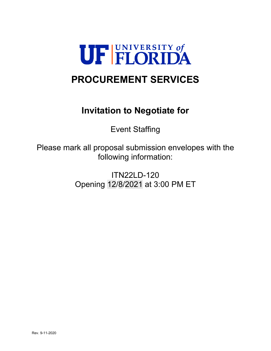

# **PROCUREMENT SERVICES**

# **Invitation to Negotiate for**

Event Staffing

Please mark all proposal submission envelopes with the following information:

> ITN22LD-120 Opening 12/8/2021 at 3:00 PM ET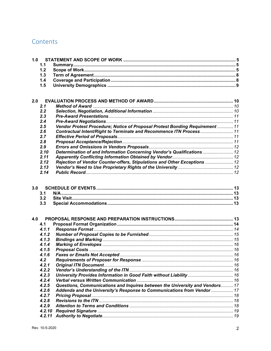# Contents

| 1.0 |                   |                                                                              |  |
|-----|-------------------|------------------------------------------------------------------------------|--|
|     | 1.1               |                                                                              |  |
|     | 1.2               |                                                                              |  |
|     | 1.3               |                                                                              |  |
|     | 1.4               |                                                                              |  |
|     | 1.5               |                                                                              |  |
|     |                   |                                                                              |  |
| 2.0 |                   |                                                                              |  |
|     | 2.1               |                                                                              |  |
|     | 2.2               |                                                                              |  |
|     | 2.3               |                                                                              |  |
|     | 2.4               |                                                                              |  |
|     | 2.5               | Vendor Protest Procedure; Notice of Proposal Protest Bonding Requirement  11 |  |
|     | 2.6               | Contractual Intent/Right to Terminate and Recommence ITN Process 11          |  |
|     | 2.7               |                                                                              |  |
|     | 2.8               |                                                                              |  |
|     | 2.9               |                                                                              |  |
|     | 2.10              | Determination of and Information Concerning Vendor's Qualifications  12      |  |
|     | 2.11              |                                                                              |  |
|     | 2.12              | Rejection of Vendor Counter-offers, Stipulations and Other Exceptions  12    |  |
|     | 2.13              |                                                                              |  |
|     | 2.14              |                                                                              |  |
| 3.0 | 3.1<br>3.2<br>3.3 |                                                                              |  |
| 4.0 | 4.1               |                                                                              |  |
|     | 4.1.1             |                                                                              |  |
|     | 4.1.2             |                                                                              |  |
|     | 4.1.3             |                                                                              |  |
|     | 4.1.4             |                                                                              |  |
|     | 4.1.5             |                                                                              |  |
|     | 4.1.6             |                                                                              |  |
|     | 4.2               |                                                                              |  |
|     | 4.2.1             |                                                                              |  |
|     | 4.2.2             |                                                                              |  |
|     | 4.2.3             |                                                                              |  |
|     | 4.2.4             |                                                                              |  |
|     | 4.2.5             | Questions, Communications and Inquires between the University and Vendors 17 |  |
|     | 4.2.6             | Addenda and the University's Response to Communications from Vendor  17      |  |
|     | 4.2.7             |                                                                              |  |
|     | 4.2.8             |                                                                              |  |
|     | 4.2.9             |                                                                              |  |
|     | 4.2.10            |                                                                              |  |
|     | 4.2.11            |                                                                              |  |
|     |                   |                                                                              |  |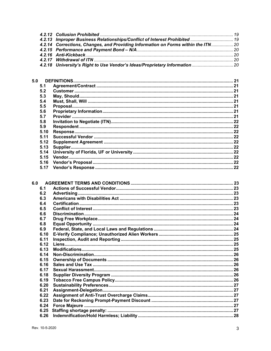| 4.2.14 Corrections, Changes, and Providing Information on Forms within the ITN 20 |  |
|-----------------------------------------------------------------------------------|--|
|                                                                                   |  |
|                                                                                   |  |
|                                                                                   |  |
|                                                                                   |  |
|                                                                                   |  |

| 5.0 |      |  |
|-----|------|--|
| 5.1 |      |  |
| 5.2 |      |  |
| 5.3 |      |  |
| 5.4 |      |  |
| 5.5 |      |  |
| 5.6 |      |  |
| 5.7 |      |  |
| 5.8 |      |  |
| 5.9 |      |  |
|     | 5.10 |  |
|     | 5.11 |  |
|     | 5.12 |  |
|     | 5.13 |  |
|     | 5.14 |  |
|     | 5.15 |  |
|     | 5.16 |  |
|     | 5.17 |  |
|     |      |  |

| 6.0 |      |  |
|-----|------|--|
|     | 6.1  |  |
|     | 6.2  |  |
|     | 6.3  |  |
|     | 6.4  |  |
|     | 6.5  |  |
|     | 6.6  |  |
|     | 6.7  |  |
|     | 6.8  |  |
|     | 6.9  |  |
|     | 6.10 |  |
|     | 6.11 |  |
|     | 6.12 |  |
|     | 6.13 |  |
|     | 6.14 |  |
|     | 6.15 |  |
|     | 6.16 |  |
|     | 6.17 |  |
|     | 6.18 |  |
|     | 6.19 |  |
|     | 6.20 |  |
|     | 6.21 |  |
|     | 6.22 |  |
|     | 6.23 |  |
|     | 6.24 |  |
|     | 6.25 |  |
|     | 6.26 |  |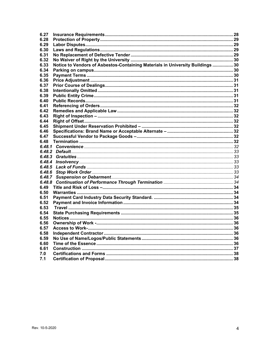| 6.27   |                                                                                |  |
|--------|--------------------------------------------------------------------------------|--|
| 6.28   |                                                                                |  |
| 6.29   |                                                                                |  |
| 6.30   |                                                                                |  |
| 6.31   |                                                                                |  |
| 6.32   |                                                                                |  |
| 6.33   | Notice to Vendors of Asbestos-Containing Materials in University Buildings  30 |  |
| 6.34   |                                                                                |  |
| 6.35   |                                                                                |  |
| 6.36   |                                                                                |  |
| 6.37   |                                                                                |  |
| 6.38   |                                                                                |  |
| 6.39   |                                                                                |  |
| 6.40   |                                                                                |  |
| 6.41   |                                                                                |  |
| 6.42   |                                                                                |  |
| 6.43   |                                                                                |  |
| 6.44   |                                                                                |  |
| 6.45   |                                                                                |  |
| 6.46   |                                                                                |  |
| 6.47   |                                                                                |  |
| 6.48   |                                                                                |  |
| 6.48.1 |                                                                                |  |
|        |                                                                                |  |
|        |                                                                                |  |
| 6.48.4 |                                                                                |  |
| 6.48.5 |                                                                                |  |
| 6.48.6 |                                                                                |  |
| 6.48.7 |                                                                                |  |
| 6.48.8 |                                                                                |  |
| 6.49   |                                                                                |  |
| 6.50   |                                                                                |  |
| 6.51   |                                                                                |  |
| 6.52   |                                                                                |  |
| 6.53   |                                                                                |  |
| 6.54   |                                                                                |  |
| 6.55   |                                                                                |  |
| 6.56   |                                                                                |  |
| 6.57   |                                                                                |  |
| 6.58   |                                                                                |  |
| 6.59   |                                                                                |  |
| 6.60   |                                                                                |  |
| 6.61   |                                                                                |  |
| 7.0    |                                                                                |  |
| 7.1    |                                                                                |  |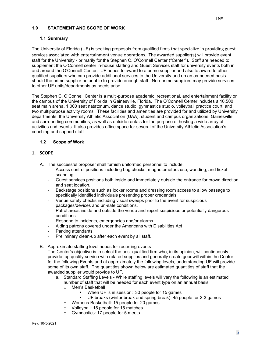# <span id="page-4-0"></span>**1.0 STATEMENT AND SCOPE OF WORK**

## <span id="page-4-1"></span>**1.1 Summary**

The University of Florida (UF) is seeking proposals from qualified firms that specialize in providing guest services associated with entertainment venue operations. The awarded supplier(s) will provide event staff for the University - primarily for the Stephen C. O'Connell Center ("Center"). Staff are needed to supplement the O'Connell center in-house staffing and Guest Services staff for university events both in and around the O'Connell Center. UF hopes to award to a prime supplier and also to award to other qualified suppliers who can provide additional services to the University and on an as-needed basis should the prime supplier be unable to provide enough staff. Non-prime suppliers may provide services to other UF units/departments as needs arise.

The Stephen C. O'Connell Center is a multi-purpose academic, recreational, and entertainment facility on the campus of the University of Florida in Gainesville, Florida. The O'Connell Center includes a 10,500 seat main arena, 1,000 seat natatorium, dance studio, gymnastics studio, volleyball practice court, and two multipurpose activity rooms. These facilities and amenities are provided for and utilized by University departments, the University Athletic Association (UAA), student and campus organizations, Gainesville and surrounding communities, as well as outside rentals for the purpose of hosting a wide array of activities and events. It also provides office space for several of the University Athletic Association's coaching and support staff.

## <span id="page-4-2"></span>**1.2 Scope of Work**

## **1. SCOPE**

- A. The successful proposer shall furnish uniformed personnel to include:
	- Access control positions including bag checks, magnetometers use, wanding, and ticket scanning.
	- Guest services positions both inside and immediately outside the entrance for crowd direction and seat location.
	- Backstage positions such as locker rooms and dressing room access to allow passage to specifically identified individuals presenting proper credentials.
	- Venue safety checks including visual sweeps prior to the event for suspicious packages/devices and un-safe conditions.
	- Patrol areas inside and outside the venue and report suspicious or potentially dangerous conditions.
	- Respond to incidents, emergencies and/or alarms
	- Aiding patrons covered under the Americans with Disabilities Act
	- Parking attendants
	- Preliminary clean-up after each event by all staff.
- B. Approximate staffing level needs for recurring events

The Center's objective is to select the best-qualified firm who, in its opinion, will continuously provide top quality service with related supplies and generally create goodwill within the Center for the following Events and at approximately the following levels, understanding UF will provide some of its own staff. The quantities shown below are estimated quantities of staff that the awarded supplier would provide to UF.

- a. Standard Staffing Levels While staffing levels will vary the following is an estimated number of staff that will be needed for each event type on an annual basis:
	- o Men's Basketball
		- When UF is in session: 30 people for 15 games
		- UF breaks (winter break and spring break): 45 people for 2-3 games
	- o Womens Basketball: 15 people for 20 games
	- o Volleyball: 15 people for 15 matches<br>
	o Gymnastics: 17 people for 5 meets
	- Gymnastics: 17 people for 5 meets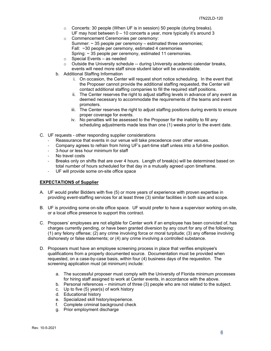- $\circ$  Concerts: 30 people (When UF is in session) 50 people (during breaks). UF may host between 0 – 10 concerts a year, more typically it's around 3
- o Commencement Ceremonies per ceremony: Summer:  $\sim$  35 people per ceremony – estimated three ceremonies; Fall: ~30 people per ceremony, estimated 4 ceremonies Spring: ~ 35 people per ceremony, estimated 11 ceremonies.
- o Special Events as needed
- $\circ$  Outside the University schedule -- during University academic calendar breaks, events will need more staff since student labor will be unavailable.
- b. Additional Staffing Information
	- i. On occasion, the Center will request short notice scheduling. In the event that the Proposer cannot provide the additional staffing requested, the Center will contact additional staffing companies to fill the required staff positions.
	- ii. The Center reserves the right to adjust staffing levels in advance of any event as deemed necessary to accommodate the requirements of the teams and event promoters.
	- iii. The Center reserves the right to adjust staffing positions during events to ensure proper coverage for events.
	- iv. No penalties will be assessed to the Proposer for the inability to fill any scheduling adjustments made less than one (1) weeks prior to the event date.
- C. UF requests other responding supplier considerations
	- Reassurance that events in our venue will take precedence over other venues.
	- Company agrees to refrain from hiring UF's part-time staff unless into a full-time position.
	- 3-hour or less hour minimum for staff
	- No travel costs
	- Breaks only on shifts that are over 4 hours. Length of break(s) will be determined based on total number of hours scheduled for that day in a mutually agreed upon timeframe.
	- UF will provide some on-site office space

## **EXPECTATIONS of Supplier**

- A. UF would prefer Bidders with five (5) or more years of experience with proven expertise in providing event-staffing services for at least three (3) similar facilities in both size and scope.
- B. UF is providing some on-site office space. UF would prefer to have a supervisor working on-site, or a local office presence to support this contract.
- C. Proposers' employees are not eligible for Center work if an employee has been convicted of, has charges currently pending, or have been granted diversion by any court for any of the following: (1) any felony offense; (2) any crime involving force or moral turpitude; (3) any offense involving dishonesty or false statements; or (4) any crime involving a controlled substance.
- D. Proposers must have an employee screening process in place that verifies employee's qualifications from a properly documented source. Documentation must be provided when requested, on a case-by-case basis, within four (4) business days of the requestion. The screening application must (at minimum) include:
	- a. The successful proposer must comply with the University of Florida minimum processes for hiring staff assigned to work at Center events, in accordance with the above.
	- b. Personal references minimum of three (3) people who are not related to the subject.
	- c. Up to five (5) year(s) of work history
	- d. Educational history
	- e. Specialized skill history/experience.
	- f. Complete criminal background check
	- g. Prior employment discharge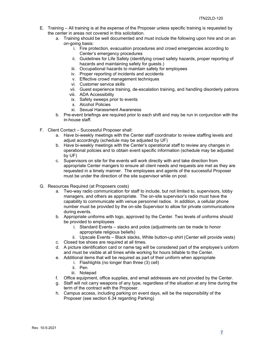- E. Training All training is at the expense of the Proposer unless specific training is requested by the center in areas not covered in this solicitation.
	- a. Training should be well documented and must include the following upon hire and on an on-going basis:
		- i. Fire protection, evacuation procedures and crowd emergencies according to Center's emergency procedures
		- ii. Guidelines for Life Safety (identifying crowd safety hazards, proper reporting of hazards and maintaining safety for guests.)
		- iii. Occupational hazards to maintain safety for employees
		- iv. Proper reporting of incidents and accidents
		- v. Effective crowd management techniques
		- vi. Customer service skills
		- vii. Guest experience training, de-escalation training, and handling disorderly patrons
		- viii. ADA Accessibility
		- ix. Safety sweeps prior to events
		- x. Alcohol Policies
		- xi. Sexual Harassment Awareness
	- b. Pre-event briefings are required prior to each shift and may be run in conjunction with the in-house staff.
- F. Client Contact Successful Proposer shall:
	- a. Have bi-weekly meetings with the Center staff coordinator to review staffing levels and adjust accordingly (schedule may be adjusted by UF)
	- b. Have bi-weekly meetings with the Center's operational staff to review any changes in operational policies and to obtain event specific information (schedule may be adjusted by UF)
	- c. Supervisors on site for the events will work directly with and take direction from appropriate Center mangers to ensure all client needs and requests are met as they are requested in a timely manner. The employees and agents of the successful Proposer must be under the direction of the site supervisor while on post.
- G. Resources Required (at Proposers costs)
	- a. Two-way radio communication for staff to include, but not limited to, supervisors, lobby managers, and others as appropriate. The on-site supervisor's radio must have the capability to communicate with venue personnel radios. In addition, a cellular phone number must be provided by the on-site Supervisor to allow for private communications during events.
	- b. Appropriate uniforms with logo, approved by the Center. Two levels of uniforms should be provided to employees
		- i. Standard Events slacks and polos (adjustments can be made to honor appropriate religious beliefs)
		- ii. Upscale Events Black slacks, White button-up shirt (Center will provide vests)
	- c. Closed toe shoes are required at all times.
	- d. A picture identification card or name tag will be considered part of the employee's uniform and must be visible at all times while working for hours billable to the Center.
	- e. Additional items that will be required as part of their uniform when appropriate
		- i. Flashlights (no longer than three (3) cell)
		- ii. Pen
		- iii. Notepad
	- f. Office equipment, office supplies, and email addresses are not provided by the Center.
	- g. Staff will not carry weapons of any type, regardless of the situation at any time during the term of the contract with the Proposer.
	- h. Campus access, including parking on event days, will be the responsibility of the Proposer (see section 6.34 regarding Parking)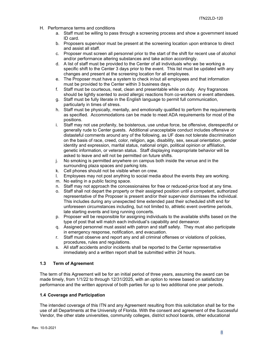- H. Performance terms and conditions
	- a. Staff must be willing to pass through a screening process and show a government issued ID card.
	- b. Proposers supervisor must be present at the screening location upon entrance to direct and assist all staff.
	- c. Proposer must screen all personnel prior to the start of the shift for recent use of alcohol and/or performance altering substances and take action accordingly.
	- d. A list of staff must be provided to the Center of all individuals who we be working a specific shift to the Center 3 days prior to the event. This list must be updated with any changes and present at the screening location for all employees.
	- e. The Proposer must have a system to check in/out all employees and that information must be provided to the Center within 3 business days.
	- f. Staff must be courteous, neat, clean and presentable while on duty. Any fragrances should be lightly scented to avoid allergic reactions from co-workers or event attendees.
	- g. Staff must be fully literate in the English language to permit full communication, particularly in times of stress.
	- h. Staff must be physically, mentally, and emotionally qualified to perform the requirements as specified. Accommodations can be made to meet ADA requirements for most of the positions.
	- i. Staff may not use profanity, be boisterous, use undue force, be offensive, disrespectful or generally rude to Center guests. Additional unacceptable conduct includes offensive or distasteful comments around any of the following, as UF does not tolerate discrimination on the basis of race, creed, color, religion, age, disability, sex, sexual orientation, gender identity and expression, marital status, national origin, political opinion or affiliation, genetic information, or veteran status. Staff displaying inappropriate behavior will be asked to leave and will not be permitted on future shifts.
	- j. No smoking is permitted anywhere on campus both inside the venue and in the surrounding plaza spaces and parking lots.
	- k. Cell phones should not be visible when on crew.
	- l. Employees may not post anything to social media about the events they are working.
	- m. No eating in a public facing space.
	- n. Staff may not approach the concessionaires for free or reduced-price food at any time.
	- o. Staff shall not depart the property or their assigned position until a competent, authorized representative of the Proposer is present and/or their supervisor dismisses the individual. This includes during any unexpected time extended past their scheduled shift end for unforeseen circumstances including, but not limited to, athletic event overtime periods, late starting events and long running concerts.
	- p. Proposer will be responsible for assigning individuals to the available shifts based on the type of post that will match each individual's capability and demeanor.
	- q. Assigned personnel must assist with patron and staff safety. They must also participate in emergency response, notification, and evacuation.
	- r. Staff must observe and report any and all criminal offenses or violations of policies, procedures, rules and regulations.
	- s. All staff accidents and/or incidents shall be reported to the Center representative immediately and a written report shall be submitted within 24 hours.

## <span id="page-7-0"></span>**1.3 Term of Agreement**

The term of this Agreement will be for an initial period of three years, assuming the award can be made timely, from 1/1/22 to through 12/31/2025, with an option to renew based on satisfactory performance and the written approval of both parties for up to two additional one year periods.

## <span id="page-7-1"></span>**1.4 Coverage and Participation**

The intended coverage of this ITN and any Agreement resulting from this solicitation shall be for the use of all Departments at the University of Florida. With the consent and agreement of the Successful Vendor, the other state universities, community colleges, district school boards, other educational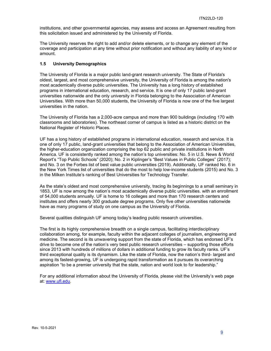institutions, and other governmental agencies, may assess and access an Agreement resulting from this solicitation issued and administered by the University of Florida.

The University reserves the right to add and/or delete elements, or to change any element of the coverage and participation at any time without prior notification and without any liability of any kind or amount.

## <span id="page-8-0"></span>**1.5 University Demographics**

The University of Florida is a major public land-grant research university. The State of Florida's oldest, largest, and most comprehensive university, the University of Florida is among the nation's most academically diverse public universities. The University has a long history of established programs in international education, research, and service. It is one of only 17 public land-grant universities nationwide and the only university in Florida belonging to the Association of American Universities. With more than 50,000 students, the University of Florida is now one of the five largest universities in the nation.

The University of Florida has a 2,000-acre campus and more than 900 buildings (including 170 with classrooms and laboratories). The northeast corner of campus is listed as a historic district on the National Register of Historic Places.

UF has a long history of established programs in international education, research and service. It is one of only 17 public, land-grant universities that belong to the Association of American Universities, the higher-education organization comprising the top 62 public and private institutions in North America. UF is consistently ranked among the nation's top universities: No. 5 in U.S. News & World Report's "Top Public Schools" (2020); No. 2 in Kiplinger's "Best Values in Public Colleges" (2017); and No. 3 on the Forbes list of best value public universities (2019). Additionally, UF ranked No. 6 in the New York Times list of universities that do the most to help low-income students (2015) and No. 3 in the Milken Institute's ranking of Best Universities for Technology Transfer.

As the state's oldest and most comprehensive university, tracing its beginnings to a small seminary in 1853, UF is now among the nation's most academically diverse public universities. with an enrollment of 54,000 students annually. UF is home to 16 colleges and more than 170 research centers and institutes and offers nearly 300 graduate degree programs. Only five other universities nationwide have as many programs of study on one campus as the University of Florida.

Several qualities distinguish UF among today's leading public research universities.

The first is its highly comprehensive breadth on a single campus, facilitating interdisciplinary collaboration among, for example, faculty within the adjacent colleges of journalism, engineering and medicine. The second is its unwavering support from the state of Florida, which has endorsed UF's drive to become one of the nation's very best public research universities – supporting those efforts since 2013 with hundreds of millions of dollars in additional funding to grow its faculty ranks. UF's third exceptional quality is its dynamism. Like the state of Florida, now the nation's third- largest and among its fastest-growing, UF is undergoing rapid transformation as it pursues its overarching aspiration "to be a premier university that the state, nation and world look to for leadership."

For any additional information about the University of Florida, please visit the University's web page at: [www.ufl.edu.](http://www.ufl.edu/)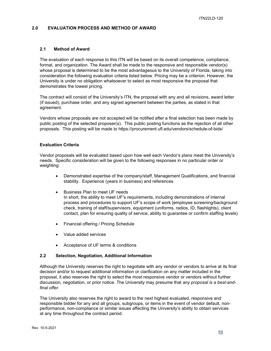## <span id="page-9-0"></span>**2.0 EVALUATION PROCESS AND METHOD OF AWARD**

## <span id="page-9-1"></span>**2.1 Method of Award**

The evaluation of each response to this ITN will be based on its overall competence, compliance, format, and organization. The Award shall be made to the responsive and responsible vendor(s) whose proposal is determined to be the most advantageous to the University of Florida, taking into consideration the following evaluation criteria listed below. Pricing may be a criterion. However, the University is under no obligation whatsoever to select as most responsive the proposal that demonstrates the lowest pricing.

The contract will consist of the University's ITN, the proposal with any and all revisions, award letter (if issued), purchase order, and any signed agreement between the parties, as stated in that agreement.

Vendors whose proposals are not accepted will be notified after a final selection has been made by public posting of the selected proposer(s). This public posting functions as the rejection of all other proposals. This posting will be made to https://procurement.ufl.edu/vendors/schedule-of-bids/

## **Evaluation Criteria**

Vendor proposals will be evaluated based upon how well each Vendor's plans meet the University's needs. Specific consideration will be given to the following responses in no particular order or weighting:

- Demonstrated expertise of the company/staff, Management Qualifications, and financial stability. Experience (years in business) and references
- Business Plan to meet UF needs In short, the ability to meet UF's requirements, including demonstrations of internal process and procedures to support UF's scope of work [employee screening/background check, training of staff/supervisors, equipment (uniforms, radios, ID, flashlights), client contact, plan for ensuring quality of service, ability to guarantee or confirm staffing levels)
- Financial offering / Pricing Schedule
- Value added services
- Acceptance of UF terms & conditions

## <span id="page-9-2"></span>**2.2 Selection, Negotiation, Additional Information**

Although the University reserves the right to negotiate with any vendor or vendors to arrive at its final decision and/or to request additional information or clarification on any matter included in the proposal, it also reserves the right to select the most responsive vendor or vendors without further discussion, negotiation, or prior notice. The University may presume that *any proposal is a best-andfinal offer.*

The University also reserves the right to award to the next highest evaluated, responsive and responsible bidder for any and all groups, subgroups, or items in the event of vendor default, nonperformance, non-compliance or similar issues affecting the University's ability to obtain services at any time throughout the contract period.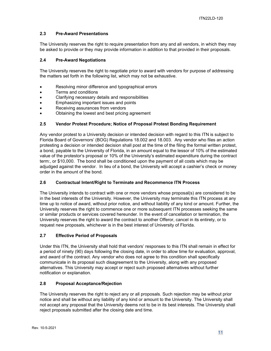## <span id="page-10-0"></span>**2.3 Pre-Award Presentations**

The University reserves the right to require presentation from any and all vendors, in which they may be asked to provide or they may provide information in addition to that provided in their proposals.

## <span id="page-10-1"></span>**2.4 Pre-Award Negotiations**

The University reserves the right to negotiate prior to award with vendors for purpose of addressing the matters set forth in the following list, which may not be exhaustive.

- Resolving minor difference and typographical errors
- Terms and conditions
- Clarifying necessary details and responsibilities
- Emphasizing important issues and points
- Receiving assurances from vendors
- Obtaining the lowest and best pricing agreement

## <span id="page-10-2"></span>**2.5 Vendor Protest Procedure; Notice of Proposal Protest Bonding Requirement**

Any vendor protest to a University decision or intended decision with regard to this ITN is subject to Florida Board of Governors' (BOG) Regulations 18.002 and 18.003. Any vendor who files an action protesting a decision or intended decision shall post at the time of the filing the formal written protest, a bond, payable to the University of Florida, in an amount equal to the lessor of 10% of the estimated value of the protestor's proposal or 10% of the University's estimated expenditure during the contract term:, or \$10,000. The bond shall be conditioned upon the payment of all costs which may be adjudged against the vendor. In lieu of a bond, the University will accept a cashier's check or money order in the amount of the bond.

## <span id="page-10-3"></span>**2.6 Contractual Intent/Right to Terminate and Recommence ITN Process**

The University intends to contract with one or more vendors whose proposal(s) are considered to be in the best interests of the University. However, the University may terminate this ITN process at any time up to notice of award, without prior notice, and without liability of any kind or amount. Further, the University reserves the right to commence one or more subsequent ITN processes seeking the same or similar products or services covered hereunder. In the event of cancellation or termination, the University reserves the right to award the contract to another Offeror, cancel in its entirety, or to request new proposals, whichever is in the best interest of University of Florida.

## <span id="page-10-4"></span>**2.7 Effective Period of Proposals**

Under this ITN, the University shall hold that vendors' responses to this ITN shall remain in effect for a period of ninety (90) days following the closing date, in order to allow time for evaluation, approval, and award of the contract. Any vendor who does not agree to this condition shall specifically communicate in its proposal such disagreement to the University, along with any proposed alternatives. This University may accept or reject such proposed alternatives without further notification or explanation.

## <span id="page-10-5"></span>**2.8 Proposal Acceptance/Rejection**

The University reserves the right to reject any or all proposals. Such rejection may be without prior notice and shall be without any liability of any kind or amount to the University. The University shall not accept any proposal that the University deems not to be in its best interests. The University shall reject proposals submitted after the closing date and time.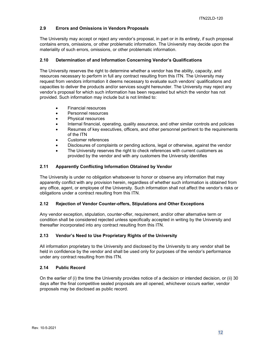## <span id="page-11-0"></span>**2.9 Errors and Omissions in Vendors Proposals**

The University may accept or reject any vendor's proposal, in part or in its entirety, if such proposal contains errors, omissions, or other problematic information. The University may decide upon the materiality of such errors, omissions, or other problematic information.

## <span id="page-11-1"></span>**2.10 Determination of and Information Concerning Vendor's Qualifications**

The University reserves the right to determine whether a vendor has the ability, capacity, and resources necessary to perform in full any contract resulting from this ITN. The University may request from vendors information it deems necessary to evaluate such vendors' qualifications and capacities to deliver the products and/or services sought hereunder. The University may reject any vendor's proposal for which such information has been requested but which the vendor has not provided. Such information may include but is not limited to:

- Financial resources
- Personnel resources
- Physical resources
- Internal financial, operating, quality assurance, and other similar controls and policies
- Resumes of key executives, officers, and other personnel pertinent to the requirements of the ITN
- Customer references
- Disclosures of complaints or pending actions, legal or otherwise, against the vendor
- The University reserves the right to check references with current customers as provided by the vendor and with any customers the University identifies

## <span id="page-11-2"></span>**2.11 Apparently Conflicting Information Obtained by Vendor**

The University is under no obligation whatsoever to honor or observe any information that may apparently conflict with any provision herein, regardless of whether such information is obtained from any office, agent, or employee of the University. Such information shall not affect the vendor's risks or obligations under a contract resulting from this ITN.

## <span id="page-11-3"></span>**2.12 Rejection of Vendor Counter-offers, Stipulations and Other Exceptions**

Any vendor exception, stipulation, counter-offer, requirement, and/or other alternative term or condition shall be considered rejected unless specifically accepted in writing by the University and thereafter incorporated into any contract resulting from this ITN.

## <span id="page-11-4"></span>**2.13 Vendor's Need to Use Proprietary Rights of the University**

All information proprietary to the University and disclosed by the University to any vendor shall be held in confidence by the vendor and shall be used only for purposes of the vendor's performance under any contract resulting from this ITN.

## <span id="page-11-5"></span>**2.14 Public Record**

On the earlier of (i) the time the University provides notice of a decision or intended decision, or (ii) 30 days after the final competitive sealed proposals are all opened, whichever occurs earlier, vendor proposals may be disclosed as public record.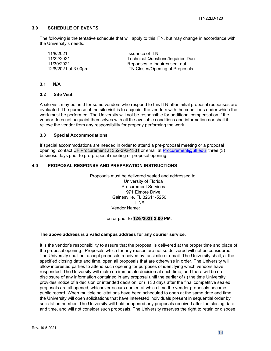## <span id="page-12-0"></span>**3.0 SCHEDULE OF EVENTS**

The following is the tentative schedule that will apply to this ITN, but may change in accordance with the University's needs.

11/8/2021 **ISSUANCE 11/8/2021** Issuance of ITN<br>11/22/2021 **ISSUANCE 11/22/2021** 

**Technical Questions/Inquiries Due** 11/30/2021 Reponses to Inquires sent out 12/8/2021 at 3:00pm **ITN Closes/Opening of Proposals** 

#### <span id="page-12-1"></span>**3.1 N/A**

#### <span id="page-12-2"></span>**3.2 Site Visit**

A site visit may be held for some vendors who respond to this ITN after initial proposal responses are evaluated. The purpose of the site visit is to acquaint the vendors with the conditions under which the work must be performed. The University will not be responsible for additional compensation if the vendor does not acquaint themselves with all the available conditions and information nor shall it relieve the vendor from any responsibility for properly performing the work.

## <span id="page-12-3"></span>**3.3 Special Accommodations**

If special accommodations are needed in order to attend a pre-proposal meeting or a proposal opening, contact UF Procurement at 352-392-1331 or email at [Procurement@ufl.edu](mailto:Procurement@ufl.edu) three (3) business days prior to pre-proposal meeting or proposal opening.

## <span id="page-12-4"></span>**4.0 PROPOSAL RESPONSE AND PREPARATION INSTRUCTIONS**

Proposals must be delivered sealed and addressed to: University of Florida Procurement Services 971 Elmore Drive Gainesville, FL 32611-5250 ITN# Vendor Name:

## on or prior to **12/8/2021 3:00 PM**.

## **The above address is a valid campus address for any courier service.**

It is the vendor's responsibility to assure that the proposal is delivered at the proper time and place of the proposal opening. Proposals which for any reason are not so delivered will not be considered. The University shall not accept proposals received by facsimile or email. The University shall, at the specified closing date and time, open all proposals that are otherwise in order. The University will allow interested parties to attend such opening for purposes of identifying which vendors have responded. The University will make no immediate decision at such time, and there will be no disclosure of any information contained in any proposal until the earlier of (i) the time University provides notice of a decision or intended decision, or (ii) 30 days after the final competitive sealed proposals are all opened, whichever occurs earlier, at which time the vendor proposals become public record. When multiple solicitations have been scheduled to open at the same date and time, the University will open solicitations that have interested individuals present in sequential order by solicitation number. The University will hold unopened any proposals received after the closing date and time, and will not consider such proposals. The University reserves the right to retain or dispose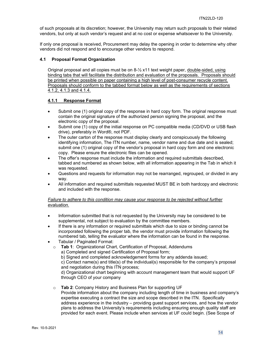of such proposals at its discretion; however, the University may return such proposals to their related vendors, but only at such vendor's request and at no cost or expense whatsoever to the University.

If only one proposal is received, Procurement may delay the opening in order to determine why other vendors did not respond and to encourage other vendors to respond.

## <span id="page-13-0"></span>**4.1 Proposal Format Organization**

Original proposal and all copies must be on 8-½ x11 text weight paper, double-sided, using binding tabs that will facilitate the distribution and evaluation of the proposals. Proposals should be printed when possible on paper containing a high level of post-consumer recycle content. Proposals should conform to the tabbed format below as well as the requirements of sections 4.1.2, 4.1.3 and 4.1.4.

## <span id="page-13-1"></span>**4.1.1 Response Format**

- Submit one (1) original copy of the response in hard copy form. The original response must contain the original signature of the authorized person signing the proposal, and the electronic copy of the proposal.
- Submit one (1) copy of the initial response on PC compatible media (CD/DVD or USB flash drive), preferably in Word®, not PDF.
- The outer carton of the response must display clearly and conspicuously the following identifying information, The ITN number, name, vendor name and due date and is sealed; submit one (1) original copy of the vendor's proposal in hard copy form and one electronic copy. Please ensure the electronic files can be opened.
- The offer's response must include the information and required submittals described, tabbed and numbered as shown below, with all information appearing in the Tab in which it was requested.
- Questions and requests for information may not be rearranged, regrouped, or divided in any way.
- All information and required submittals requested MUST BE in both hardcopy and electronic and included with the response.

## *Failure to adhere to this condition may cause your response to be rejected without further evaluation.*

- Information submitted that is not requested by the University may be considered to be supplemental, not subject to evaluation by the committee members.
- If there is any information or required submittals which due to size or binding cannot be incorporated following the proper tab, the vendor must provide information following the numbered tab, telling the evaluator where the information can be found in the response.
- Tabular / Paginated Format:
	- o **Tab 1**: Organizational Chart, Certification of Proposal, Addendums
		- a) Completed and signed Certification of Proposal form;

b) Signed and completed acknowledgement forms for any addenda issued;

c) Contact name(s) and title(s) of the individual(s) responsible for the company's proposal and negotiation during this ITN process;

d) Organizational chart beginning with account management team that would support UF through CEO of your company

o **Tab 2**: Company History and Business Plan for supporting UF Provide information about the company including length of time in business and company's expertise executing a contract the size and scope described in the ITN. Specifically address experience in the industry – providing guest support services, and how the vendor plans to address the University's requirements including ensuring enough quality staff are provided for each event. Please include when services at UF could begin. (See Scope of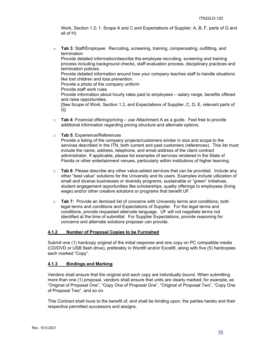Work, Section 1.2; 1. Scope A and C and Expectations of Supplier: A, B, F, parts of G and all of H)

o **Tab 3**: Staff/Employee: Recruiting, screening, training, compensating, outfitting, and termination

Provide detailed information/describe the employee recruiting, screening and training process including background checks, staff evaluation process, disciplinary practices and termination policies.

Provide detailed information around how your company teaches staff to handle situations like lost children and loss prevention.

Provide a photo of the company uniform

Provide staff work rules

Provide information about hourly rates paid to employees – salary range, benefits offered and raise opportunities.

[See Scope of Work, Section 1.2, and Expectations of Supplier, C, D, E, relevant parts of G]

- o **Tab 4**: Financial offering/pricing use Attachment A as a guide. Feel free to provide additional information regarding pricing structure and alternate options.
- o **Tab 5**: Experience/References

Provide a listing of the company projects/customers similar in size and scope to the services described in the ITN, both current and past customers (references). This list must include the name, address, telephone, and email address of the client contract administrator. If applicable, please list examples of services rendered in the State of Florida or other entertainment venues, particularly within institutions of higher learning.

- o **Tab 6**: Please describe any other value-added services that can be provided. Include any other "best value" solutions for the University and its users. Examples include utilization of small and diverse businesses or diversity programs, sustainable or "green" initiatives, student engagement opportunities like scholarships, quality offerings to employees (living wage) and/or other creative solutions or programs that benefit UF.
- o **Tab 7:** Provide an itemized list of concerns with University terms and conditions, both legal terms and conditions and Expectations of Supplier. For the legal terms and conditions, provide requested alternate language. UF will not negotiate terms not identified at the time of submittal. For Supplier Expectations, provide reasoning for concerns and alternate solutions proposer can provide.

## <span id="page-14-0"></span>**4.1.2 Number of Proposal Copies to be Furnished**

Submit one (1) hardcopy original of the initial response and one copy on PC compatible media (CD/DVD or USB flash drive), preferably in Word® and/or Excel®, along with five (5) hardcopies each marked "Copy".

## <span id="page-14-1"></span>**4.1.3 Bindings and Marking**

Vendors shall ensure that the original and each copy are individually bound. When submitting more than one (1) proposal, vendors shall ensure that units are clearly marked; for example, as "Original of Proposal One", "Copy One of Proposal One", "Original of Proposal Two", "Copy One of Proposal Two", and so on.

This Contract shall inure to the benefit of, and shall be binding upon, the parties hereto and their respective permitted successors and assigns.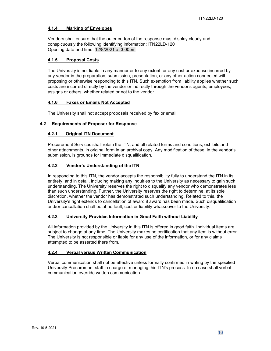## <span id="page-15-0"></span>**4.1.4 Marking of Envelopes**

Vendors shall ensure that the outer carton of the response must display clearly and conspicuously the following identifying information: ITN22LD-120 Opening date and time: 12/8/2021 at 3:00pm

## <span id="page-15-1"></span>**4.1.5 Proposal Costs**

The University is not liable in any manner or to any extent for any cost or expense incurred by any vendor in the preparation, submission, presentation, or any other action connected with proposing or otherwise responding to this ITN. Such exemption from liability applies whether such costs are incurred directly by the vendor or indirectly through the vendor's agents, employees, assigns or others, whether related or not to the vendor.

## <span id="page-15-2"></span>**4.1.6 Faxes or Emails Not Accepted**

The University shall not accept proposals received by fax or email.

## <span id="page-15-4"></span><span id="page-15-3"></span>**4.2 Requirements of Proposer for Response**

## **4.2.1 Original ITN Document**

Procurement Services shall retain the ITN, and all related terms and conditions, exhibits and other attachments, in original form in an archival copy. Any modification of these, in the vendor's submission, is grounds for immediate disqualification.

## <span id="page-15-5"></span>**4.2.2 Vendor's Understanding of the ITN**

In responding to this ITN, the vendor accepts the responsibility fully to understand the ITN in its entirety, and in detail, including making any inquiries to the University as necessary to gain such understanding. The University reserves the right to disqualify any vendor who demonstrates less than such understanding. Further, the University reserves the right to determine, at its sole discretion, whether the vendor has demonstrated such understanding. Related to this, the University's right extends to cancellation of award if award has been made. Such disqualification and/or cancellation shall be at no fault, cost or liability whatsoever to the University.

## <span id="page-15-6"></span>**4.2.3 University Provides Information in Good Faith without Liability**

All information provided by the University in this ITN is offered in good faith. Individual items are subject to change at any time. The University makes no certification that any item is without error. The University is not responsible or liable for any use of the information, or for any claims attempted to be asserted there from.

## <span id="page-15-7"></span>**4.2.4 Verbal versus Written Communication**

Verbal communication shall not be effective unless formally confirmed in writing by the specified University Procurement staff in charge of managing this ITN's process. In no case shall verbal communication override written communication.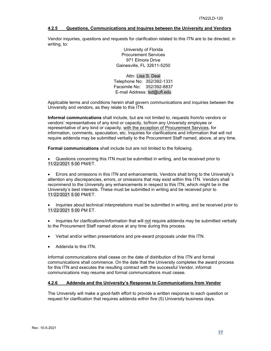## <span id="page-16-0"></span>**4.2.5 Questions, Communications and Inquires between the University and Vendors**

Vendor inquiries, questions and requests for clarification related to this ITN are to be directed, in writing, to:

> University of Florida Procurement Services 971 Elmore Drive Gainesville, FL 32611-5250

Attn: Lisa S. Deal Telephone No: 352/392-1331 Facsimile No: 352/392-8837 E-mail Address: lsd@ufl.edu

Applicable terms and conditions herein shall govern communications and inquiries between the University and vendors, as they relate to this ITN.

**Informal communications** shall include, but are not limited to, requests from/to vendors or vendors' representatives of any kind or capacity, to/from any University employee or representative of any kind or capacity, with the exception of Procurement Services, for information, comments, speculation, etc. Inquiries for clarifications and information that will not require addenda may be submitted verbally to the Procurement Staff named, above, at any time.

**Formal communications** shall include but are not limited to the following.

• Questions concerning this ITN must be submitted in writing, and be received prior to 11/22/2021 5:00 PM/ET.

• Errors and omissions in this ITN and enhancements. Vendors shall bring to the University's attention any discrepancies, errors, or omissions that may exist within this ITN. Vendors shall recommend to the University any enhancements in respect to this ITN, which might be in the University's best interests. These must be submitted in writing and be received prior to 11/22/2021 5:00 PM/ET.

• Inquiries about technical interpretations must be submitted in writing, and be received prior to 11/22/2021 5:00 PM ET.

• Inquiries for clarifications/information that will not require addenda may be submitted verbally to the Procurement Staff named above at any time during this process.

- Verbal and/or written presentations and pre-award proposals under this ITN.
- Addenda to this ITN.

Informal communications shall cease on the date of distribution of this ITN and formal communications shall commence. On the date that the University completes the award process for this ITN and executes the resulting contract with the successful Vendor, informal communications may resume and formal communications must cease.

## <span id="page-16-1"></span>**4.2.6 Addenda and the University's Response to Communications from Vendor**

The University will make a good-faith effort to provide a written response to each question or request for clarification that requires addenda within five (5) University business days.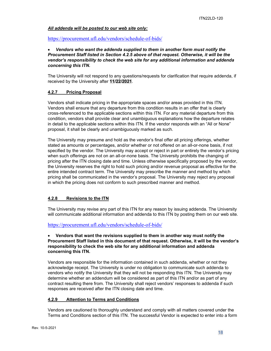## *All addenda will be posted to our web site only:*

## <https://procurement.ufl.edu/vendors/schedule-of-bids/>

## • *Vendors who want the addenda supplied to them in another form must notify the Procurement Staff listed in Section 4.2.5 above of that request. Otherwise, it will be the vendor's responsibility to check the web site for any additional information and addenda concerning this ITN.*

The University will not respond to any questions/requests for clarification that require addenda, if received by the University after **11/22/2021**.

## <span id="page-17-0"></span>**4.2.7 Pricing Proposal**

Vendors shall indicate pricing in the appropriate spaces and/or areas provided in this ITN. Vendors shall ensure that any departure from this condition results in an offer that is clearly cross-referenced to the applicable sections within this ITN. For any material departure from this condition, vendors shall provide clear and unambiguous explanations how the departure relates in detail to the applicable sections within this ITN. If the vendor responds with an "All or None" proposal, it shall be clearly and unambiguously marked as such.

The University may presume and hold as the vendor's final offer all pricing offerings, whether stated as amounts or percentages, and/or whether or not offered on an all-or-none basis, if not specified by the vendor. The University may accept or reject in part or entirely the vendor's pricing when such offerings are not on an all-or-none basis. The University prohibits the changing of pricing after the ITN closing date and time. Unless otherwise specifically proposed by the vendor, the University reserves the right to hold such pricing and/or revenue proposal as effective for the entire intended contract term. The University may prescribe the manner and method by which pricing shall be communicated in the vendor's proposal. The University may reject any proposal in which the pricing does not conform to such prescribed manner and method.

## <span id="page-17-1"></span>**4.2.8 Revisions to the ITN**

The University may revise any part of this ITN for any reason by issuing addenda. The University will communicate additional information and addenda to this ITN by posting them on our web site.

## <https://procurement.ufl.edu/vendors/schedule-of-bids/>

## • **Vendors that want the revisions supplied to them in another way must notify the Procurement Staff listed in this document of that request. Otherwise, it will be the vendor's responsibility to check the web site for any additional information and addenda concerning this ITN.**

Vendors are responsible for the information contained in such addenda, whether or not they acknowledge receipt. The University is under no obligation to communicate such addenda to vendors who notify the University that they will not be responding this ITN. The University may determine whether an addendum will be considered as part of this ITN and/or as part of any contract resulting there from. The University shall reject vendors' responses to addenda if such responses are received after the ITN closing date and time.

## <span id="page-17-2"></span>**4.2.9 Attention to Terms and Conditions**

Vendors are cautioned to thoroughly understand and comply with all matters covered under the Terms and Conditions section of this ITN. The successful Vendor is expected to enter into a form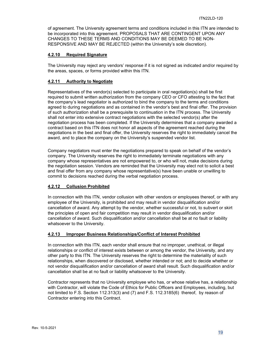of agreement. The University agreement terms and conditions included in this ITN are intended to be incorporated into this agreement. PROPOSALS THAT ARE CONTINGENT UPON ANY CHANGES TO THESE TERMS AND CONDITIONS MAY BE DEEMED TO BE NON-RESPONSIVE AND MAY BE REJECTED (within the University's sole discretion).

## <span id="page-18-0"></span>**4.2.10 Required Signature**

The University may reject any vendors' response if it is not signed as indicated and/or required by the areas, spaces, or forms provided within this ITN.

## <span id="page-18-1"></span>**4.2.11 Authority to Negotiate**

Representatives of the vendor(s) selected to participate in oral negotiation(s) shall be first required to submit written authorization from the company CEO or CFO attesting to the fact that the company's lead negotiator is authorized to bind the company to the terms and conditions agreed to during negotiations and as contained in the vendor's best and final offer. The provision of such authorization shall be a prerequisite to continuation in the ITN process. The University shall not enter into extensive contract negotiations with the selected vendor(s) after the negotiation process has been completed. If the University determines that a company awarded a contract based on this ITN does not honor all aspects of the agreement reached during the negotiations in the best and final offer, the University reserves the right to immediately cancel the award, and to place the company on the University's suspended vendor list.

Company negotiators must enter the negotiations prepared to speak on behalf of the vendor's company. The University reserves the right to immediately terminate negotiations with any company whose representatives are not empowered to, or who will not, make decisions during the negotiation session. Vendors are reminded that the University may elect not to solicit a best and final offer from any company whose representative(s) have been unable or unwilling to commit to decisions reached during the verbal negotiation process.

## <span id="page-18-2"></span>**4.2.12 Collusion Prohibited**

In connection with this ITN, vendor collusion with other vendors or employees thereof, or with any employee of the University, is prohibited and may result in vendor disqualification and/or cancellation of award. Any attempt by the vendor, whether successful or not, to subvert or skirt the principles of open and fair competition may result in vendor disqualification and/or cancellation of award. Such disqualification and/or cancellation shall be at no fault or liability whatsoever to the University.

## <span id="page-18-3"></span>**4.2.13 Improper Business Relationships/Conflict of Interest Prohibited**

In connection with this ITN, each vendor shall ensure that no improper, unethical, or illegal relationships or conflict of interest exists between or among the vendor, the University, and any other party to this ITN. The University reserves the right to determine the materiality of such relationships, when discovered or disclosed, whether intended or not; and to decide whether or not vendor disqualification and/or cancellation of award shall result. Such disqualification and/or cancellation shall be at no fault or liability whatsoever to the University.

Contractor represents that no University employee who has, or whose relative has, a relationship with Contractor, will violate the Code of Ethics for Public Officers and Employees, including, but not limited to F.S. Section 112.313(3) and (7) and F.S. 112.3185(6) thereof, by reason of Contractor entering into this Contract.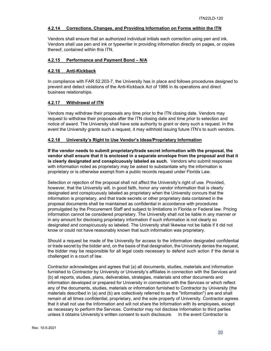## <span id="page-19-0"></span>**4.2.14 Corrections, Changes, and Providing Information on Forms within the ITN**

Vendors shall ensure that an authorized individual initials each correction using pen and ink. Vendors shall use pen and ink or typewriter in providing information directly on pages, or copies thereof, contained within this ITN.

## <span id="page-19-1"></span>**4.2.15 Performance and Payment Bond – N/A**

## <span id="page-19-2"></span>**4.2.16 Anti-Kickback**

In compliance with FAR 52.203-7, the University has in place and follows procedures designed to prevent and detect violations of the Anti-Kickback Act of 1986 in its operations and direct business relationships.

## <span id="page-19-3"></span>**4.2.17 Withdrawal of ITN**

Vendors may withdraw their proposals any time prior to the ITN closing date. Vendors may request to withdraw their proposals after the ITN closing date and time prior to selection and notice of award. The University shall have sole authority to grant or deny such a request. In the event the University grants such a request, it may withhold issuing future ITN's to such vendors.

## <span id="page-19-4"></span>**4.2.18 University's Right to Use Vendor's Ideas/Proprietary Information**

**If the vendor needs to submit proprietary/trade secret information with the proposal, the vendor shall ensure that it is enclosed in a separate envelope from the proposal and that it is clearly designated and conspicuously labeled as such.** Vendors who submit responses with information noted as proprietary may be asked to substantiate why the information is proprietary or is otherwise exempt from a public records request under Florida Law.

Selection or rejection of the proposal shall not affect the University's right of use. Provided, however, that the University will, in good faith, honor any vendor information that is clearly designated and conspicuously labeled as proprietary when the University concurs that the information is proprietary, and that trade secrets or other proprietary data contained in the proposal documents shall be maintained as confidential in accordance with procedures promulgated by the Procurement Staff and subject to limitations in Florida or Federal law. Pricing information cannot be considered proprietary. The University shall not be liable in any manner or in any amount for disclosing proprietary information if such information is not clearly so designated and conspicuously so labeled. The University shall likewise not be liable if it did not know or could not have reasonably known that such information was proprietary.

Should a request be made of the University for access to the information designated confidential or trade secret by the bidder and, on the basis of that designation, the University denies the request, the bidder may be responsible for all legal costs necessary to defend such action if the denial is challenged in a court of law.

Contractor acknowledges and agrees that (a) all documents, studies, materials and information furnished to Contractor by University or University's affiliates in connection with the Services and (b) all reports, studies, plans, deliverables, strategies, materials and other documents and information developed or prepared for University in connection with the Services or which reflect any of the documents, studies, materials or information furnished to Contractor by University (the materials described in (a) and (b) are collectively referred to as the "Information") are and shall remain at all times confidential, proprietary, and the sole property of University. Contractor agrees that it shall not use the Information and will not share the Information with its employees, except as necessary to perform the Services. Contractor may not disclose Information to third parties unless it obtains University's written consent to such disclosure. In the event Contractor is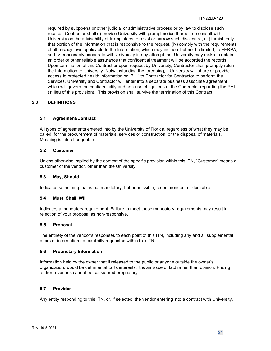required by subpoena or other judicial or administrative process or by law to disclose such records, Contractor shall (i) provide University with prompt notice thereof, (ii) consult with University on the advisability of taking steps to resist or narrow such disclosure, (iii) furnish only that portion of the information that is responsive to the request, (iv) comply with the requirements of all privacy laws applicable to the Information, which may include, but not be limited, to FERPA, and (v) reasonably cooperate with University in any attempt that University may make to obtain an order or other reliable assurance that confidential treatment will be accorded the records. Upon termination of this Contract or upon request by University, Contractor shall promptly return the Information to University. Notwithstanding the foregoing, if University will share or provide access to protected health information or "PHI" to Contractor for Contractor to perform the Services, University and Contractor will enter into a separate business associate agreement which will govern the confidentiality and non-use obligations of the Contractor regarding the PHI (in lieu of this provision). This provision shall survive the termination of this Contract.

## <span id="page-20-0"></span>**5.0 DEFINITIONS**

## <span id="page-20-1"></span>**5.1 Agreement/Contract**

All types of agreements entered into by the University of Florida, regardless of what they may be called, for the procurement of materials, services or construction, or the disposal of materials. Meaning is interchangeable.

## <span id="page-20-2"></span>**5.2 Customer**

Unless otherwise implied by the context of the specific provision within this ITN, "Customer" means a customer of the vendor, other than the University.

#### <span id="page-20-3"></span>**5.3 May, Should**

Indicates something that is not mandatory, but permissible, recommended, or desirable.

#### <span id="page-20-4"></span>**5.4 Must, Shall, Will**

Indicates a mandatory requirement. Failure to meet these mandatory requirements may result in rejection of your proposal as non-responsive.

#### <span id="page-20-5"></span>**5.5 Proposal**

The entirety of the vendor's responses to each point of this ITN, including any and all supplemental offers or information not explicitly requested within this ITN.

## <span id="page-20-6"></span>**5.6 Proprietary Information**

Information held by the owner that if released to the public or anyone outside the owner's organization, would be detrimental to its interests. It is an issue of fact rather than opinion. Pricing and/or revenues cannot be considered proprietary.

## <span id="page-20-7"></span>**5.7 Provider**

Any entity responding to this ITN, or, if selected, the vendor entering into a contract with University.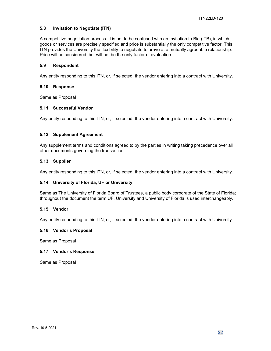## <span id="page-21-0"></span>**5.8 Invitation to Negotiate (ITN)**

A competitive negotiation process. It is not to be confused with an Invitation to Bid (ITB), in which goods or services are precisely specified and price is substantially the only competitive factor. This ITN provides the University the flexibility to negotiate to arrive at a mutually agreeable relationship. Price will be considered, but will not be the only factor of evaluation.

## <span id="page-21-1"></span>**5.9 Respondent**

Any entity responding to this ITN, or, if selected, the vendor entering into a contract with University.

#### <span id="page-21-2"></span>**5.10 Response**

Same as Proposal

## <span id="page-21-3"></span>**5.11 Successful Vendor**

Any entity responding to this ITN, or, if selected, the vendor entering into a contract with University.

## <span id="page-21-4"></span>**5.12 Supplement Agreement**

Any supplement terms and conditions agreed to by the parties in writing taking precedence over all other documents governing the transaction.

#### <span id="page-21-5"></span>**5.13 Supplier**

Any entity responding to this ITN, or, if selected, the vendor entering into a contract with University.

## <span id="page-21-6"></span>**5.14 University of Florida, UF or University**

Same as The University of Florida Board of Trustees, a public body corporate of the State of Florida; throughout the document the term UF, University and University of Florida is used interchangeably.

## <span id="page-21-7"></span>**5.15 Vendor**

Any entity responding to this ITN, or, if selected, the vendor entering into a contract with University.

## <span id="page-21-8"></span>**5.16 Vendor's Proposal**

Same as Proposal

#### <span id="page-21-9"></span>**5.17 Vendor's Response**

Same as Proposal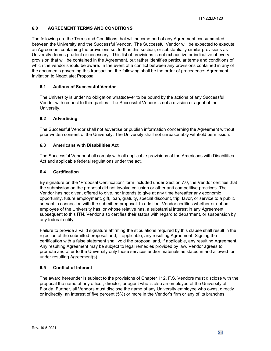## <span id="page-22-0"></span>**6.0 AGREEMENT TERMS AND CONDITIONS**

The following are the Terms and Conditions that will become part of any Agreement consummated between the University and the Successful Vendor. The Successful Vendor will be expected to execute an Agreement containing the provisions set forth in this section, or substantially similar provisions as University deems prudent or necessary. This list of provisions is not exhaustive or indicative of every provision that will be contained in the Agreement, but rather identifies particular terms and conditions of which the vendor should be aware. In the event of a conflict between any provisions contained in any of the documents governing this transaction, the following shall be the order of precedence: Agreement; Invitation to Negotiate; Proposal.

## <span id="page-22-1"></span>**6.1 Actions of Successful Vendor**

The University is under no obligation whatsoever to be bound by the actions of any Successful Vendor with respect to third parties. The Successful Vendor is not a division or agent of the University.

## <span id="page-22-2"></span>**6.2 Advertising**

The Successful Vendor shall not advertise or publish information concerning the Agreement without prior written consent of the University. The University shall not unreasonably withhold permission.

## <span id="page-22-3"></span>**6.3 Americans with Disabilities Act**

The Successful Vendor shall comply with all applicable provisions of the Americans with Disabilities Act and applicable federal regulations under the act.

## <span id="page-22-4"></span>**6.4 Certification**

By signature on the "Proposal Certification" form included under Section 7.0, the Vendor certifies that the submission on the proposal did not involve collusion or other anti-competitive practices. The Vendor has not given, offered to give, nor intends to give at any time hereafter any economic opportunity, future employment, gift, loan, gratuity, special discount, trip, favor, or service to a public servant in connection with the submitted proposal. In addition, Vendor certifies whether or not an employee of the University has, or whose relative has, a substantial interest in any Agreement subsequent to this ITN. Vendor also certifies their status with regard to debarment, or suspension by any federal entity.

Failure to provide a valid signature affirming the stipulations required by this clause shall result in the rejection of the submitted proposal and, if applicable, any resulting Agreement. Signing the certification with a false statement shall void the proposal and, if applicable, any resulting Agreement. Any resulting Agreement may be subject to legal remedies provided by law. Vendor agrees to promote and offer to the University only those services and/or materials as stated in and allowed for under resulting Agreement(s).

## <span id="page-22-5"></span>**6.5 Conflict of Interest**

The award hereunder is subject to the provisions of Chapter 112, F.S. Vendors must disclose with the proposal the name of any officer, director, or agent who is also an employee of the University of Florida. Further, all Vendors must disclose the name of any University employee who owns, directly or indirectly, an interest of five percent (5%) or more in the Vendor's firm or any of its branches.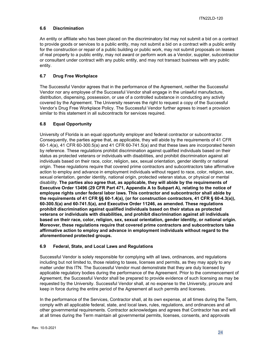## <span id="page-23-0"></span>**6.6 Discrimination**

An entity or affiliate who has been placed on the discriminatory list may not submit a bid on a contract to provide goods or services to a public entity, may not submit a bid on a contract with a public entity for the construction or repair of a public building or public work, may not submit proposals on leases of real property to a public entity, may not award or perform work as a Vendor, supplier, subcontractor or consultant under contract with any public entity, and may not transact business with any public entity.

## <span id="page-23-1"></span>**6.7 Drug Free Workplace**

The Successful Vendor agrees that in the performance of the Agreement, neither the Successful Vendor nor any employee of the Successful Vendor shall engage in the unlawful manufacture, distribution, dispensing, possession, or use of a controlled substance in conducting any activity covered by the Agreement. The University reserves the right to request a copy of the Successful Vendor's Drug Free Workplace Policy. The Successful Vendor further agrees to insert a provision similar to this statement in all subcontracts for services required.

## <span id="page-23-2"></span>**6.8 Equal Opportunity**

University of Florida is an equal opportunity employer and federal contractor or subcontractor. Consequently, the parties agree that, as applicable, they will abide by the requirements of 41 CFR 60-1.4(a), 41 CFR 60-300.5(a) and 41 CFR 60-741.5(a) and that these laws are incorporated herein by reference. These regulations prohibit discrimination against qualified individuals based on their status as protected veterans or individuals with disabilities, and prohibit discrimination against all individuals based on their race, color, religion, sex, sexual orientation, gender identity or national origin. These regulations require that covered prime contractors and subcontractors take affirmative action to employ and advance in employment individuals without regard to race, color, religion, sex, sexual orientation, gender identity, national origin, protected veteran status, or physical or mental disability. **The parties also agree that, as applicable, they will abide by the requirements of Executive Order 13496 (29 CFR Part 471, Appendix A to Subpart A), relating to the notice of employee rights under federal labor laws. This contractor and subcontractor shall abide by the requirements of 41 CFR §§ 60-1.4(a), (or for construction contractors, 41 CFR § 60-4.3(a)), 60-300.5(a) and 60-741.5(a), and Executive Order 11246, as amended. These regulations prohibit discrimination against qualified individuals based on their status as protected veterans or individuals with disabilities, and prohibit discrimination against all individuals based on their race, color, religion, sex, sexual orientation, gender identity, or national origin. Moreover, these regulations require that covered prime contractors and subcontractors take affirmative action to employ and advance in employment individuals without regard to the aforementioned protected groups.**

## <span id="page-23-3"></span>**6.9 Federal, State, and Local Laws and Regulations**

Successful Vendor is solely responsible for complying with all laws, ordinances, and regulations including but not limited to, those relating to taxes, licenses and permits, as they may apply to any matter under this ITN. The Successful Vendor must demonstrate that they are duly licensed by applicable regulatory bodies during the performance of the Agreement. Prior to the commencement of Agreement, the Successful Vendor shall be prepared to provide evidence of such licensing as may be requested by the University. Successful Vendor shall, at no expense to the University, procure and keep in force during the entire period of the Agreement all such permits and licenses.

In the performance of the Services, Contractor shall, at its own expense, at all times during the Term, comply with all applicable federal, state, and local laws, rules, regulations, and ordinances and all other governmental requirements. Contractor acknowledges and agrees that Contractor has and will at all times during the Term maintain all governmental permits, licenses, consents, and approvals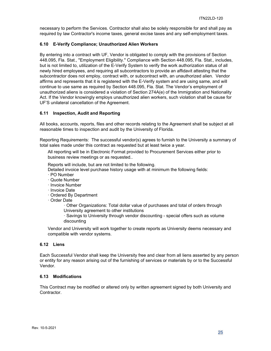necessary to perform the Services. Contractor shall also be solely responsible for and shall pay as required by law Contractor's income taxes, general excise taxes and any self-employment taxes.

## <span id="page-24-0"></span>**6.10 E-Verify Compliance; Unauthorized Alien Workers**

By entering into a contract with UF, Vendor is obligated to comply with the provisions of Section 448.095, Fla. Stat., "Employment Eligibility." Compliance with Section 448.095, Fla. Stat., includes, but is not limited to, utilization of the E-Verify System to verify the work authorization status of all newly hired employees, and requiring all subcontractors to provide an affidavit attesting that the subcontractor does not employ, contract with, or subcontract with, an unauthorized alien. Vendor affirms and represents that it is registered with the E-Verify system and are using same, and will continue to use same as required by Section 448.095, Fla. Stat. The Vendor's employment of unauthorized aliens is considered a violation of Section 274A(e) of the Immigration and Nationality Act. If the Vendor knowingly employs unauthorized alien workers, such violation shall be cause for UF'S unilateral cancellation of the Agreement.

## <span id="page-24-1"></span>**6.11 Inspection, Audit and Reporting**

All books, accounts, reports, files and other records relating to the Agreement shall be subject at all reasonable times to inspection and audit by the University of Florida.

Reporting Requirements: The successful vendor(s) agrees to furnish to the University a summary of total sales made under this contract as requested but at least twice a year.

All reporting will be in Electronic Format provided to Procurement Services either prior to business review meetings or as requested..

Reports will include, but are not limited to the following.

Detailed invoice level purchase history usage with at minimum the following fields:

- · PO Number
- · Quote Number
- · Invoice Number
- · Invoice Date
- · Ordered By Department
- · Order Date

· Other Organizations: Total dollar value of purchases and total of orders through University agreement to other institutions

· Savings to University through vendor discounting - special offers such as volume discounting

Vendor and University will work together to create reports as University deems necessary and compatible with vendor systems.

## <span id="page-24-2"></span>**6.12 Liens**

Each Successful Vendor shall keep the University free and clear from all liens asserted by any person or entity for any reason arising out of the furnishing of services or materials by or to the Successful Vendor.

## <span id="page-24-3"></span>**6.13 Modifications**

This Contract may be modified or altered only by written agreement signed by both University and Contractor.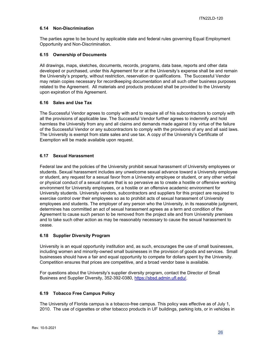## <span id="page-25-0"></span>**6.14 Non-Discrimination**

The parties agree to be bound by applicable state and federal rules governing Equal Employment Opportunity and Non-Discrimination.

## <span id="page-25-1"></span>**6.15 Ownership of Documents**

All drawings, maps, sketches, documents, records, programs, data base, reports and other data developed or purchased, under this Agreement for or at the University's expense shall be and remain the University's property, without restriction, reservation or qualifications. The Successful Vendor may retain copies necessary for recordkeeping documentation and all such other business purposes related to the Agreement. All materials and products produced shall be provided to the University upon expiration of this Agreement.

## <span id="page-25-2"></span>**6.16 Sales and Use Tax**

The Successful Vendor agrees to comply with and to require all of his subcontractors to comply with all the provisions of applicable law. The Successful Vendor further agrees to indemnify and hold harmless the University from any and all claims and demands made against it by virtue of the failure of the Successful Vendor or any subcontractors to comply with the provisions of any and all said laws. The University is exempt from state sales and use tax. A copy of the University's Certificate of Exemption will be made available upon request.

## <span id="page-25-3"></span>**6.17 Sexual Harassment**

Federal law and the policies of the University prohibit sexual harassment of University employees or students. Sexual harassment includes any unwelcome sexual advance toward a University employee or student, any request for a sexual favor from a University employee or student, or any other verbal or physical conduct of a sexual nature that is so pervasive as to create a hostile or offensive working environment for University employees, or a hostile or an offensive academic environment for University students. University vendors, subcontractors and suppliers for this project are required to exercise control over their employees so as to prohibit acts of sexual harassment of University employees and students. The employer of any person who the University, in its reasonable judgment, determines has committed an act of sexual harassment agrees as a term and condition of the Agreement to cause such person to be removed from the project site and from University premises and to take such other action as may be reasonably necessary to cause the sexual harassment to cease.

## <span id="page-25-4"></span>**6.18 Supplier Diversity Program**

University is an equal opportunity institution and, as such, encourages the use of small businesses, including women and minority-owned small businesses in the provision of goods and services. Small businesses should have a fair and equal opportunity to compete for dollars spent by the University. Competition ensures that prices are competitive, and a broad vendor base is available.

For questions about the University's supplier diversity program, contact the Director of Small Business and Supplier Diversity, 352-392-0380, [https://sbsd.admin.ufl.edu/.](https://sbsd.admin.ufl.edu/)

## <span id="page-25-5"></span>**6.19 Tobacco Free Campus Policy**

The University of Florida campus is a tobacco-free campus. This policy was effective as of July 1, 2010. The use of cigarettes or other tobacco products in UF buildings, parking lots, or in vehicles in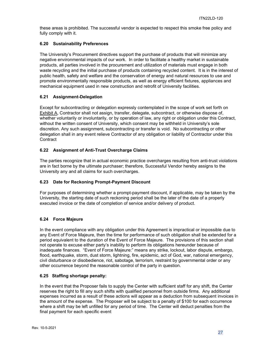these areas is prohibited. The successful vendor is expected to respect this smoke free policy and fully comply with it.

## <span id="page-26-0"></span>**6.20 Sustainability Preferences**

The University's Procurement directives support the purchase of products that will minimize any negative environmental impacts of our work. In order to facilitate a healthy market in sustainable products, all parties involved in the procurement and utilization of materials must engage in both waste recycling and the initial purchase of products containing recycled content. It is in the interest of public health, safety and welfare and the conservation of energy and natural resources to use and promote environmentally responsible products, as well as energy efficient fixtures, appliances and mechanical equipment used in new construction and retrofit of University facilities.

## <span id="page-26-1"></span>**6.21 Assignment-Delegation**

Except for subcontracting or delegation expressly contemplated in the scope of work set forth on Exhibit A, Contractor shall not assign, transfer, delegate, subcontract, or otherwise dispose of, whether voluntarily or involuntarily, or by operation of law, any right or obligation under this Contract, without the written consent of University, which consent may be withheld in University's sole discretion. Any such assignment, subcontracting or transfer is void. No subcontracting or other delegation shall in any event relieve Contractor of any obligation or liability of Contractor under this **Contract** 

## <span id="page-26-2"></span>**6.22 Assignment of Anti-Trust Overcharge Claims**

The parties recognize that in actual economic practice overcharges resulting from anti-trust violations are in fact borne by the ultimate purchaser; therefore, Successful Vendor hereby assigns to the University any and all claims for such overcharges.

## <span id="page-26-3"></span>**6.23 Date for Reckoning Prompt-Payment Discount**

For purposes of determining whether a prompt-payment discount, if applicable, may be taken by the University, the starting date of such reckoning period shall be the later of the date of a properly executed invoice or the date of completion of service and/or delivery of product.

## <span id="page-26-4"></span>**6.24 Force Majeure**

In the event compliance with any obligation under this Agreement is impractical or impossible due to any Event of Force Majeure, then the time for performance of such obligation shall be extended for a period equivalent to the duration of the Event of Force Majeure. The provisions of this section shall not operate to excuse either party's inability to perform its obligations hereunder because of inadequate finances. "Event of Force Majeure:" means any strike, lockout, labor dispute, embargo, flood, earthquake, storm, dust storm, lightning, fire, epidemic, act of God, war, national emergency, civil disturbance or disobedience, riot, sabotage, terrorism, restraint by governmental order or any other occurrence beyond the reasonable control of the party in question.

## <span id="page-26-5"></span>**6.25 Staffing shortage penalty:**

In the event that the Proposer fails to supply the Center with sufficient staff for any shift, the Center reserves the right to fill any such shifts with qualified personnel from outside firms. Any additional expenses incurred as a result of these actions will appear as a deduction from subsequent invoices in the amount of the expense. The Proposer will be subject to a penalty of \$100 for each occurrence where a shift may be left unfilled for any period of time. The Center will deduct penalties from the final payment for each specific event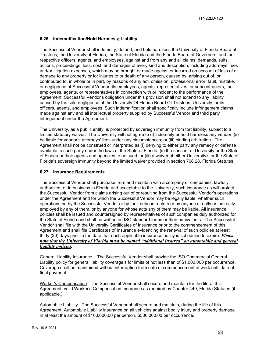## <span id="page-27-0"></span>**6.26 Indemnification/Hold Harmless; Liability**

The Successful Vendor shall indemnify, defend, and hold harmless the University of Florida Board of Trustees, the University of Florida, the State of Florida and the Florida Board of Governors, and their respective officers, agents, and employees, against and from any and all claims, demands, suits, actions, proceedings, loss, cost, and damages of every kind and description, including attorneys' fees and/or litigation expenses, which may be brought or made against or incurred on account of loss of or damage to any property or for injuries to or death of any person, caused by, arising out of, or contributed to, in whole or in part, by reasons of any act, omission, professional error, fault, mistake, or negligence of Successful Vendor, its employees, agents, representatives, or subcontractors, their employees, agents, or representatives in connection with or incident to the performance of the Agreement. Successful Vendor's obligation under this provision shall not extend to any liability caused by the sole negligence of the University Of Florida Board Of Trustees, University, or its officers, agents, and employees. Such indemnification shall specifically include infringement claims made against any and all intellectual property supplied by Successful Vendor and third party infringement under the Agreement.

The University, as a public entity, is protected by sovereign immunity from tort liability, subject to a limited statutory waiver. The University will not agree to (i) indemnify or hold harmless any vendor; (ii) be liable for vendor's attorneys' fees under any circumstances; or (iii) binding arbitration. The Agreement shall not be construed or interpreted as (i) denying to either party any remedy or defense available to such party under the laws of the State of Florida; (ii) the consent of University or the State of Florida or their agents and agencies to be sued; or (iii) a waiver of either University's or the State of Florida's sovereign immunity beyond the limited waiver provided in section 768.28, Florida Statutes.

## <span id="page-27-1"></span>**6.27 Insurance Requirements**

The Successful Vendor shall purchase from and maintain with a company or companies, lawfully authorized to do business in Florida and acceptable to the University, such insurance as will protect the Successful Vendor from claims arising out of or resulting from the Successful Vendor's operations under the Agreement and for which the Successful Vendor may be legally liable, whether such operations be by the Successful Vendor or by their subcontractors or by anyone directly or indirectly employed by any of them, or by anyone for whose acts any of them may be liable. All insurance policies shall be issued and countersigned by representatives of such companies duly authorized for the State of Florida and shall be written on ISO standard forms or their equivalents. The Successful Vendor shall file with the University Certificates of Insurance prior to the commencement of this Agreement and shall file Certificates of Insurance evidencing the renewal of such policies at least thirty (30) days prior to the date that each applicable insurance policy is scheduled to expire. *Please note that the University of Florida must be named "additional insured" on automobile and general liability policies.*

General Liability Insurance – The Successful Vendor shall provide the ISO Commercial General Liability policy for general liability coverage's for limits of not less than of \$1,000,000 per occurrence. Coverage shall be maintained without interruption from date of commencement of work until date of final payment.

Worker's Compensation - The Successful Vendor shall secure and maintain for the life of this Agreement, valid Worker's Compensation Insurance as required by Chapter 440, Florida Statutes (if applicable.)

Automobile Liability - The Successful Vendor shall secure and maintain, during the life of this Agreement, Automobile Liability insurance on all vehicles against bodily injury and property damage in at least the amount of \$100,000.00 per person, \$500,000.00 per occurrence.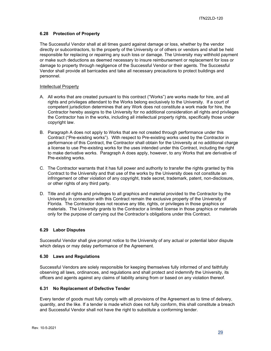## <span id="page-28-0"></span>**6.28 Protection of Property**

The Successful Vendor shall at all times guard against damage or loss, whether by the vendor directly or subcontractors, to the property of the University or of others or vendors and shall be held responsible for replacing or repairing any such loss or damage. The University may withhold payment or make such deductions as deemed necessary to insure reimbursement or replacement for loss or damage to property through negligence of the Successful Vendor or their agents. The Successful Vendor shall provide all barricades and take all necessary precautions to protect buildings and personnel.

#### Intellectual Property

- A. All works that are created pursuant to this contract ("Works") are works made for hire, and all rights and privileges attendant to the Works belong exclusively to the University. If a court of competent jurisdiction determines that any Work does not constitute a work made for hire, the Contractor hereby assigns to the University for no additional consideration all rights and privileges the Contractor has in the works, including all intellectual property rights, specifically those under copyright law.
- B. Paragraph A does not apply to Works that are not created through performance under this Contract ("Pre-existing works"). With respect to Pre-existing works used by the Contractor in performance of this Contract, the Contractor shall obtain for the University at no additional charge a license to use Pre-existing works for the uses intended under this Contract, including the right to make derivative works. Paragraph A does apply, however, to any Works that are derivative of Pre-existing works.
- C. The Contractor warrants that it has full power and authority to transfer the rights granted by this Contract to the University and that use of the works by the University does not constitute an infringement or other violation of any copyright, trade secret, trademark, patent, non-disclosure, or other rights of any third party.
- D. Title and all rights and privileges to all graphics and material provided to the Contractor by the University in connection with this Contract remain the exclusive property of the University of Florida. The Contractor does not receive any title, rights, or privileges in those graphics or materials. The University grants to the Contractor a limited license in those graphics or materials only for the purpose of carrying out the Contractor's obligations under this Contract.

## <span id="page-28-1"></span>**6.29 Labor Disputes**

Successful Vendor shall give prompt notice to the University of any actual or potential labor dispute which delays or may delay performance of the Agreement.

#### <span id="page-28-2"></span>**6.30 Laws and Regulations**

Successful Vendors are solely responsible for keeping themselves fully informed of and faithfully observing all laws, ordinances, and regulations and shall protect and indemnify the University, its officers and agents against any claims of liability arising from or based on any violation thereof.

## <span id="page-28-3"></span>**6.31 No Replacement of Defective Tender**

Every tender of goods must fully comply with all provisions of the Agreement as to time of delivery, quantity, and the like. If a tender is made which does not fully conform, this shall constitute a breach and Successful Vendor shall not have the right to substitute a conforming tender.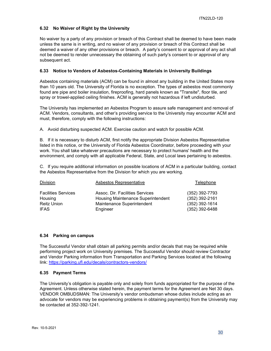## <span id="page-29-0"></span>**6.32 No Waiver of Right by the University**

No waiver by a party of any provision or breach of this Contract shall be deemed to have been made unless the same is in writing, and no waiver of any provision or breach of this Contract shall be deemed a waiver of any other provisions or breach. A party's consent to or approval of any act shall not be deemed to render unnecessary the obtaining of such party's consent to or approval of any subsequent act.

## <span id="page-29-1"></span>**6.33 Notice to Vendors of Asbestos-Containing Materials in University Buildings**

Asbestos containing materials (ACM) can be found in almost any building in the United States more than 10 years old. The University of Florida is no exception. The types of asbestos most commonly found are pipe and boiler insulation, fireproofing, hard panels known as "Transite", floor tile, and spray or trowel-applied ceiling finishes. ACM is generally not hazardous if left undisturbed.

The University has implemented an Asbestos Program to assure safe management and removal of ACM. Vendors, consultants, and other's providing service to the University may encounter ACM and must, therefore, comply with the following instructions:

A. Avoid disturbing suspected ACM. Exercise caution and watch for possible ACM.

B. If it is necessary to disturb ACM, first notify the appropriate Division Asbestos Representative listed in this notice, or the University of Florida Asbestos Coordinator, before proceeding with your work. You shall take whatever precautions are necessary to protect humans' health and the environment, and comply with all applicable Federal, State, and Local laws pertaining to asbestos.

C. If you require additional information on possible locations of ACM in a particular building, contact the Asbestos Representative from the Division for which you are working.

| <b>Division</b>            | Asbestos Representative            | Telephone        |
|----------------------------|------------------------------------|------------------|
| <b>Facilities Services</b> | Assoc. Dir. Facilities Services    | (352) 392-7793   |
| Housing                    | Housing Maintenance Superintendent | (352) 392-2161   |
| <b>Reitz Union</b>         | Maintenance Superintendent         | $(352)$ 392-1614 |
| <b>IFAS</b>                | Engineer                           | $(352)$ 392-6488 |

## <span id="page-29-2"></span>**6.34 Parking on campus**

The Successful Vendor shall obtain all parking permits and/or decals that may be required while performing project work on University premises. The Successful Vendor should review Contractor and Vendor Parking information from Transportation and Parking Services located at the following link:<https://parking.ufl.edu/decals/contractors-vendors/>

## <span id="page-29-3"></span>**6.35 Payment Terms**

The University's obligation is payable only and solely from funds appropriated for the purpose of the Agreement. Unless otherwise stated herein, the payment terms for the Agreement are Net 30 days. VENDOR OMBUDSMAN: The University's vendor ombudsman whose duties include acting as an advocate for vendors may be experiencing problems in obtaining payment(s) from the University may be contacted at 352-392-1241.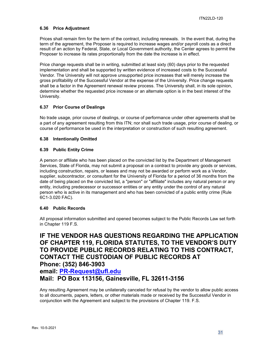## <span id="page-30-0"></span>**6.36 Price Adjustment**

Prices shall remain firm for the term of the contract, including renewals. In the event that, during the term of the agreement, the Proposer is required to increase wages and/or payroll costs as a direct result of an action by Federal, State, or Local Government authority, the Center agrees to permit the Proposer to increase its rates proportionally from the date the increase is in effect.

Price change requests shall be in writing, submitted at least sixty (60) days prior to the requested implementation and shall be supported by written evidence of increased costs to the Successful Vendor. The University will not approve unsupported price increases that will merely increase the gross profitability of the Successful Vendor at the expense of the University. Price change requests shall be a factor in the Agreement renewal review process. The University shall, in its sole opinion, determine whether the requested price increase or an alternate option is in the best interest of the University.

## <span id="page-30-1"></span>**6.37 Prior Course of Dealings**

No trade usage, prior course of dealings, or course of performance under other agreements shall be a part of any agreement resulting from this ITN; nor shall such trade usage, prior course of dealing, or course of performance be used in the interpretation or construction of such resulting agreement.

## <span id="page-30-2"></span>**6.38 Intentionally Omitted**

## <span id="page-30-3"></span>**6.39 Public Entity Crime**

A person or affiliate who has been placed on the convicted list by the Department of Management Services, State of Florida, may not submit a proposal on a contract to provide any goods or services, including construction, repairs, or leases and may not be awarded or perform work as a Vendor, supplier, subcontractor, or consultant for the University of Florida for a period of 36 months from the date of being placed on the convicted list, a "person" or "affiliate" includes any natural person or any entity, including predecessor or successor entities or any entity under the control of any natural person who is active in its management and who has been convicted of a public entity crime (Rule 6C1-3.020 FAC).

## <span id="page-30-4"></span>**6.40 Public Records**

All proposal information submitted and opened becomes subject to the Public Records Law set forth in Chapter 119 F.S.

## **IF THE VENDOR HAS QUESTIONS REGARDING THE APPLICATION OF CHAPTER 119, FLORIDA STATUTES, TO THE VENDOR'S DUTY TO PROVIDE PUBLIC RECORDS RELATING TO THIS CONTRACT, CONTACT THE CUSTODIAN OF PUBLIC RECORDS AT Phone: (352) 846-3903 email: [PR-Request@ufl.edu](mailto:PR-Request@ufl.edu)**

**Mail: PO Box 113156, Gainesville, FL 32611-3156**

Any resulting Agreement may be unilaterally canceled for refusal by the vendor to allow public access to all documents, papers, letters, or other materials made or received by the Successful Vendor in conjunction with the Agreement and subject to the provisions of Chapter 119. F.S.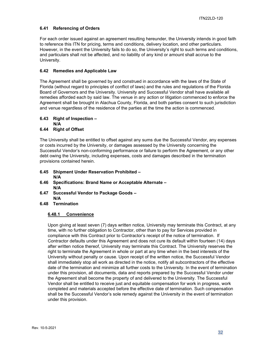## <span id="page-31-0"></span>**6.41 Referencing of Orders**

For each order issued against an agreement resulting hereunder, the University intends in good faith to reference this ITN for pricing, terms and conditions, delivery location, and other particulars. However, in the event the University fails to do so, the University's right to such terms and conditions, and particulars shall not be affected, and no liability of any kind or amount shall accrue to the University.

## <span id="page-31-1"></span>**6.42 Remedies and Applicable Law**

The Agreement shall be governed by and construed in accordance with the laws of the State of Florida (without regard to principles of conflict of laws) and the rules and regulations of the Florida Board of Governors and the University. University and Successful Vendor shall have available all remedies afforded each by said law. The venue in any action or litigation commenced to enforce the Agreement shall be brought in Alachua County, Florida, and both parties consent to such jurisdiction and venue regardless of the residence of the parties at the time the action is commenced.

<span id="page-31-2"></span>**6.43 Right of Inspection –**

**N/A**

## <span id="page-31-3"></span>**6.44 Right of Offset**

The University shall be entitled to offset against any sums due the Successful Vendor, any expenses or costs incurred by the University, or damages assessed by the University concerning the Successful Vendor's non-conforming performance or failure to perform the Agreement, or any other debt owing the University, including expenses, costs and damages described in the termination provisions contained herein.

- <span id="page-31-4"></span>**6.45 Shipment Under Reservation Prohibited – N/A**
- <span id="page-31-5"></span>**6.46 Specifications: Brand Name or Acceptable Alternate – N/A**
- <span id="page-31-6"></span>**6.47 Successful Vendor to Package Goods – N/A**
- <span id="page-31-8"></span><span id="page-31-7"></span>**6.48 Termination**

## **6.48.1 Convenience**

Upon giving at least seven (7) days written notice, University may terminate this Contract, at any time, with no further obligation to Contractor, other than to pay for Services provided in compliance with this Contract prior to Contractor's receipt of the notice of termination. If Contractor defaults under this Agreement and does not cure its default within fourteen (14) days after written notice thereof, University may terminate this Contract. The University reserves the right to terminate the Agreement in whole or part at any time when in the best interests of the University without penalty or cause. Upon receipt of the written notice, the Successful Vendor shall immediately stop all work as directed in the notice, notify all subcontractors of the effective date of the termination and minimize all further costs to the University. In the event of termination under this provision, all documents, data and reports prepared by the Successful Vendor under the Agreement shall become the property of and delivered to the University. The Successful Vendor shall be entitled to receive just and equitable compensation for work in progress, work completed and materials accepted before the effective date of termination. Such compensation shall be the Successful Vendor's sole remedy against the University in the event of termination under this provision.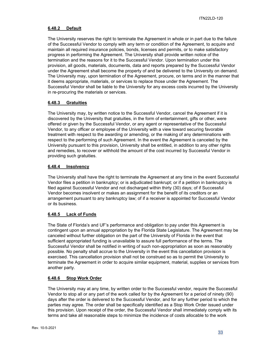## <span id="page-32-0"></span>**6.48.2 Default**

The University reserves the right to terminate the Agreement in whole or in part due to the failure of the Successful Vendor to comply with any term or condition of the Agreement, to acquire and maintain all required insurance policies, bonds, licenses and permits, or to make satisfactory progress in performing the Agreement. The University shall provide written notice of the termination and the reasons for it to the Successful Vendor. Upon termination under this provision, all goods, materials, documents, data and reports prepared by the Successful Vendor under the Agreement shall become the property of and be delivered to the University on demand. The University may, upon termination of the Agreement, procure, on terms and in the manner that it deems appropriate, materials, or services to replace those under the Agreement. The Successful Vendor shall be liable to the University for any excess costs incurred by the University in re-procuring the materials or services.

## <span id="page-32-1"></span>**6.48.3 Gratuities**

The University may, by written notice to the Successful Vendor, cancel the Agreement if it is discovered by the University that gratuities, in the form of entertainment, gifts or other, were offered or given by the Successful Vendor, or any agent or representative of the Successful Vendor, to any officer or employee of the University with a view toward securing favorable treatment with respect to the awarding or amending, or the making of any determinations with respect to the performing of such Agreement. In the event the Agreement is canceled by the University pursuant to this provision, University shall be entitled, in addition to any other rights and remedies, to recover or withhold the amount of the cost incurred by Successful Vendor in providing such gratuities.

## <span id="page-32-2"></span>**6.48.4 Insolvency**

The University shall have the right to terminate the Agreement at any time in the event Successful Vendor files a petition in bankruptcy; or is adjudicated bankrupt; or if a petition in bankruptcy is filed against Successful Vendor and not discharged within thirty (30) days; of if Successful Vendor becomes insolvent or makes an assignment for the benefit of its creditors or an arrangement pursuant to any bankruptcy law; of if a receiver is appointed for Successful Vendor or its business.

## <span id="page-32-3"></span>**6.48.5 Lack of Funds**

The State of Florida's and UF's performance and obligation to pay under this Agreement is contingent upon an annual appropriation by the Florida State Legislature. The Agreement may be canceled without further obligation on the part of the University of Florida in the event that sufficient appropriated funding is unavailable to assure full performance of the terms. The Successful Vendor shall be notified in writing of such non-appropriation as soon as reasonably possible. No penalty shall accrue to the University in the event this cancellation provision is exercised. This cancellation provision shall not be construed so as to permit the University to terminate the Agreement in order to acquire similar equipment, material, supplies or services from another party.

## <span id="page-32-4"></span>**6.48.6 Stop Work Order**

The University may at any time, by written order to the Successful vendor, require the Successful Vendor to stop all or any part of the work called for by the Agreement for a period of ninety (90) days after the order is delivered to the Successful Vendor, and for any further period to which the parties may agree. The order shall be specifically identified as a Stop Work Order issued under this provision. Upon receipt of the order, the Successful Vendor shall immediately comply with its terms and take all reasonable steps to minimize the incidence of costs allocable to the work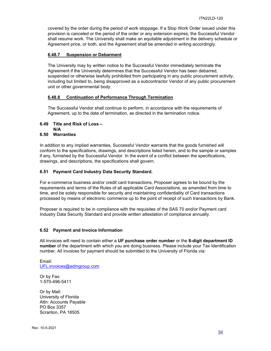covered by the order during the period of work stoppage. If a Stop Work Order issued under this provision is canceled or the period of the order or any extension expires, the Successful Vendor shall resume work. The University shall make an equitable adjustment in the delivery schedule or Agreement price, or both, and the Agreement shall be amended in writing accordingly.

## <span id="page-33-0"></span>**6.48.7 Suspension or Debarment**

The University may by written notice to the Successful Vendor immediately terminate the Agreement if the University determines that the Successful Vendor has been debarred, suspended or otherwise lawfully prohibited from participating in any public procurement activity, including but limited to, being disapproved as a subcontractor Vendor of any public procurement unit or other governmental body.

## <span id="page-33-1"></span>**6.48.8 Continuation of Performance Through Termination**

The Successful Vendor shall continue to perform, in accordance with the requirements of Agreement, up to the date of termination, as directed in the termination notice.

## <span id="page-33-2"></span>**6.49 Title and Risk of Loss –**

**N/A**

## <span id="page-33-3"></span>**6.50 Warranties**

In addition to any implied warranties, Successful Vendor warrants that the goods furnished will conform to the specifications, drawings, and descriptions listed herein, and to the sample or samples if any, furnished by the Successful Vendor. In the event of a conflict between the specifications, drawings, and descriptions, the specifications shall govern.

## <span id="page-33-4"></span>**6.51 Payment Card Industry Data Security Standard.**

For e-commerce business and/or credit card transactions, Proposer agrees to be bound by the requirements and terms of the Rules of all applicable Card Associations, as amended from time to time, and be solely responsible for security and maintaining confidentiality of Card transactions processed by means of electronic commerce up to the point of receipt of such transactions by Bank.

Proposer is required to be in compliance with the requisites of the SAS 70 and/or Payment card Industry Data Security Standard and provide written attestation of compliance annually.

## <span id="page-33-5"></span>**6.52 Payment and Invoice Information**

All invoices will need to contain either a **UF purchase order number** or the **8-digit department ID number** of the department with which you are doing business. Please include your Tax Identification number. All invoices for payment should be submitted to the University of Florida via:

Email: [UFL.invoices@edmgroup.com](mailto:UFL.invoices@edmgroup.com)

Or by Fax: 1-570-496-5411

Or by Mail: University of Florida Attn: Accounts Payable PO Box 3357 Scranton, PA 18505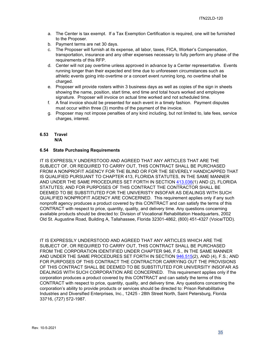- a. The Center is tax exempt. If a Tax Exemption Certification is required, one will be furnished to the Proposer.
- b. Payment terms are net 30 days.
- c. The Proposer will furnish at its expense, all labor, taxes, FICA, Worker's Compensation, transportation, insurance and any other expenses necessary to fully perform any phase of the requirements of this RFP.
- d. Center will not pay overtime unless approved in advance by a Center representative. Events running longer than their expected end time due to unforeseen circumstances such as athletic events going into overtime or a concert event running long, no overtime shall be charged.
- e. Proposer will provide rosters within 3 business days as well as copies of the sign in sheets showing the name, position, start time, end time and total hours worked and employee signature. Proposer will invoice on actual time worked and not scheduled time.
- f. A final invoice should be presented for each event in a timely fashion. Payment disputes must occur within three (3) months of the payment of the invoice.
- g. Proposer may not impose penalties of any kind including, but not limited to, late fees, service charges, interest.

# <span id="page-34-0"></span>**6.53 Travel**

**N/A**

## <span id="page-34-1"></span>**6.54 State Purchasing Requirements**

IT IS EXPRESSLY UNDERSTOOD AND AGREED THAT ANY ARTICLES THAT ARE THE SUBJECT OF, OR REQUIRED TO CARRY OUT, THIS CONTRACT SHALL BE PURCHASED FROM A NONPROFIT AGENCY FOR THE BLIND OR FOR THE SEVERELY HANDICAPPED THAT IS QUALIFIED PURSUANT TO CHAPTER 413, FLORIDA STATUTES, IN THE SAME MANNER AND UNDER THE SAME PROCEDURES SET FORTH IN SECTION [413.036\(](http://www.leg.state.fl.us/STATUTES/index.cfm?App_mode=Display_Statute&Search_String=&URL=Ch0413/Sec036.HTM)1) AND (2), FLORIDA STATUTES; AND FOR PURPOSES OF THIS CONTRACT THE CONTRACTOR SHALL BE DEEMED TO BE SUBSTITUTED FOR THE UNIVERISTY INSOFAR AS DEALINGS WITH SUCH QUALIFIED NONPROFIT AGENCY ARE CONCERNED. This requirement applies only if any such nonprofit agency produces a product covered by this CONTRACT and can satisfy the terms of this CONTRACT with respect to price, quantity, quality, and delivery time. Any questions concerning available products should be directed to: Division of Vocational Rehabilitation Headquarters, 2002 Old St. Augustine Road, Building A, Tallahassee, Florida 32301-4862, (800) 451-4327 (Voice/TDD).

IT IS EXPRESSLY UNDERSTOOD AND AGREED THAT ANY ARTICLES WHICH ARE THE SUBJECT OF, OR REQUIRED TO CARRY OUT, THIS CONTRACT SHALL BE PURCHASED FROM THE CORPORATION IDENTIFIED UNDER CHAPTER 946, F.S., IN THE SAME MANNER AND UNDER THE SAME PROCEDURES SET FORTH IN SECTION [946.515\(](http://www.leg.state.fl.us/STATUTES/index.cfm?App_mode=Display_Statute&Search_String=&URL=Ch0946/Sec515.HTM)2), AND (4), F.S.; AND FOR PURPOSES OF THIS CONTRACT THE CONTRACTOR CARRYING OUT THE PROVISIONS OF THIS CONTRACT SHALL BE DEEMED TO BE SUBSTITUTED FOR UNIVERSITY INSOFAR AS DEALINGS WITH SUCH CORPORATION ARE CONCERNED. This requirement applies only if the corporation produces a product covered by this CONTRACT and can satisfy the terms of this CONTRACT with respect to price, quantity, quality, and delivery time. Any questions concerning the corporation's ability to provide products or services should be directed to: Prison Rehabilitative Industries and Diversified Enterprises, Inc., 12425 - 28th Street North, Saint Petersburg, Florida 33716, (727) 572-1987.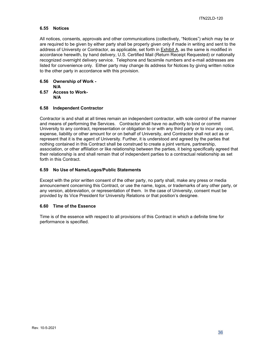## <span id="page-35-0"></span>**6.55 Notices**

All notices, consents, approvals and other communications (collectively, "Notices") which may be or are required to be given by either party shall be properly given only if made in writing and sent to the address of University or Contractor, as applicable, set forth in Exhibit A, as the same is modified in accordance herewith, by hand delivery, U.S. Certified Mail (Return Receipt Requested) or nationally recognized overnight delivery service. Telephone and facsimile numbers and e-mail addresses are listed for convenience only. Either party may change its address for Notices by giving written notice to the other party in accordance with this provision.

<span id="page-35-1"></span>**6.56 Ownership of Work -**

<span id="page-35-2"></span>**A**<br>**6.57** Acc **6.57 Access to Work-**

 **N/A**

## <span id="page-35-3"></span>**6.58 Independent Contractor**

Contractor is and shall at all times remain an independent contractor, with sole control of the manner and means of performing the Services. Contractor shall have no authority to bind or commit University to any contract, representation or obligation to or with any third party or to incur any cost, expense, liability or other amount for or on behalf of University, and Contractor shall not act as or represent that it is the agent of University. Further, it is understood and agreed by the parties that nothing contained in this Contract shall be construed to create a joint venture, partnership, association, or other affiliation or like relationship between the parties, it being specifically agreed that their relationship is and shall remain that of independent parties to a contractual relationship as set forth in this Contract.

## <span id="page-35-4"></span>**6.59 No Use of Name/Logos/Public Statements**

Except with the prior written consent of the other party, no party shall, make any press or media announcement concerning this Contract, or use the name, logos, or trademarks of any other party, or any version, abbreviation, or representation of them. In the case of University, consent must be provided by its Vice President for University Relations or that position's designee.

## <span id="page-35-5"></span>**6.60 Time of the Essence**

Time is of the essence with respect to all provisions of this Contract in which a definite time for performance is specified.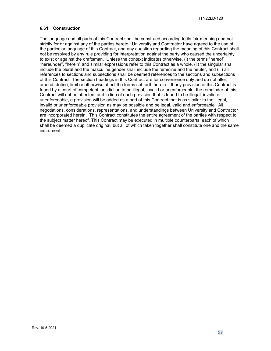## <span id="page-36-0"></span>**6.61 Construction**

The language and all parts of this Contract shall be construed according to its fair meaning and not strictly for or against any of the parties hereto. University and Contractor have agreed to the use of the particular language of this Contract, and any question regarding the meaning of this Contract shall not be resolved by any rule providing for interpretation against the party who caused the uncertainty to exist or against the draftsman. Unless the context indicates otherwise, (i) the terms "hereof", "hereunder", "herein" and similar expressions refer to this Contract as a whole, (ii) the singular shall include the plural and the masculine gender shall include the feminine and the neuter, and (iii) all references to sections and subsections shall be deemed references to the sections and subsections of this Contract. The section headings in this Contract are for convenience only and do not alter, amend, define, limit or otherwise affect the terms set forth herein. If any provision of this Contract is found by a court of competent jurisdiction to be illegal, invalid or unenforceable, the remainder of this Contract will not be affected, and in lieu of each provision that is found to be illegal, invalid or unenforceable, a provision will be added as a part of this Contract that is as similar to the illegal, invalid or unenforceable provision as may be possible and be legal, valid and enforceable. All negotiations, considerations, representations, and understandings between University and Contractor are incorporated herein. This Contract constitutes the entire agreement of the parties with respect to the subject matter hereof. This Contract may be executed in multiple counterparts, each of which shall be deemed a duplicate original, but all of which taken together shall constitute one and the same instrument.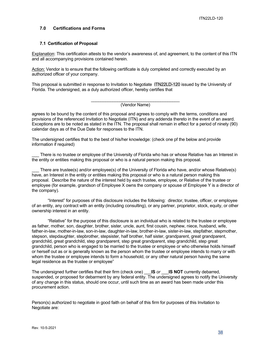## <span id="page-37-0"></span>**7.0 Certifications and Forms**

## <span id="page-37-1"></span>**7.1 Certification of Proposal**

Explanation: This certification attests to the vendor's awareness of, and agreement, to the content of this ITN and all accompanying provisions contained herein.

Action: Vendor is to ensure that the following certificate is duly completed and correctly executed by an authorized officer of your company.

This proposal is submitted in response to Invitation to Negotiate ITN22LD-120 issued by the University of Florida. The undersigned, as a duly authorized officer, hereby certifies that

#### \_\_\_\_\_\_\_\_\_\_\_\_\_\_\_\_\_\_\_\_\_\_\_\_\_\_\_\_\_\_\_\_\_\_\_\_\_ (Vendor Name)

agrees to be bound by the content of this proposal and agrees to comply with the terms, conditions and provisions of the referenced Invitation to Negotiate (ITN) and any addenda thereto in the event of an award. Exceptions are to be noted as stated in the ITN. The proposal shall remain in effect for a period of ninety (90) calendar days as of the Due Date for responses to the ITN.

The undersigned certifies that to the best of his/her knowledge: (check one pf the below and provide information if required)

There is no trustee or employee of the University of Florida who has or whose Relative has an Interest in the entity or entities making this proposal or who is a natural person making this proposal.

There are trustee(s) and/or employee(s) of the University of Florida who have, and/or whose Relative(s) have, an Interest in the entity or entities making this proposal or who is a natural person making this proposal. Describe the nature of the interest held by each trustee, employee, or Relative of the trustee or employee (for example, grandson of Employee X owns the company or spouse of Employee Y is a director of the company).

"Interest" for purposes of this disclosure includes the following: director, trustee, officer, or employee of an entity, any contract with an entity (including consulting), or any partner, proprietor, stock, equity, or other ownership interest in an entity.

"Relative" for the purpose of this disclosure is an individual who is related to the trustee or employee as father, mother, son, daughter, brother, sister, uncle, aunt, first cousin, nephew, niece, husband, wife, father-in-law, mother-in-law, son-in-law, daughter-in-law, brother-in-law, sister-in-law, stepfather, stepmother, stepson, stepdaughter, stepbrother, stepsister, half brother, half sister, grandparent, great grandparent, grandchild, great grandchild, step grandparent, step great grandparent, step grandchild, step great grandchild, person who is engaged to be married to the trustee or employee or who otherwise holds himself or herself out as or is generally known as the person whom the trustee or employee intends to marry or with whom the trustee or employee intends to form a household, or any other natural person having the same legal residence as the trustee or employee"

The undersigned further certifies that their firm (check one) \_\_\_**IS** *or* \_\_\_**IS NOT** currently debarred, suspended, or proposed for debarment by any federal entity. The undersigned agrees to notify the University of any change in this status, should one occur, until such time as an award has been made under this procurement action.

Person(s) authorized to negotiate in good faith on behalf of this firm for purposes of this Invitation to Negotiate are: